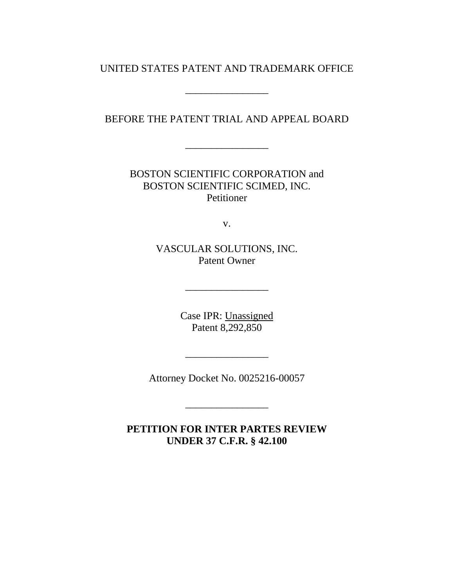# UNITED STATES PATENT AND TRADEMARK OFFICE

\_\_\_\_\_\_\_\_\_\_\_\_\_\_\_\_

BEFORE THE PATENT TRIAL AND APPEAL BOARD

\_\_\_\_\_\_\_\_\_\_\_\_\_\_\_\_

BOSTON SCIENTIFIC CORPORATION and BOSTON SCIENTIFIC SCIMED, INC. Petitioner

v.

VASCULAR SOLUTIONS, INC. Patent Owner

\_\_\_\_\_\_\_\_\_\_\_\_\_\_\_\_

Case IPR: Unassigned Patent 8,292,850

Attorney Docket No. 0025216-00057

\_\_\_\_\_\_\_\_\_\_\_\_\_\_\_\_

\_\_\_\_\_\_\_\_\_\_\_\_\_\_\_\_

**PETITION FOR INTER PARTES REVIEW UNDER 37 C.F.R. § 42.100**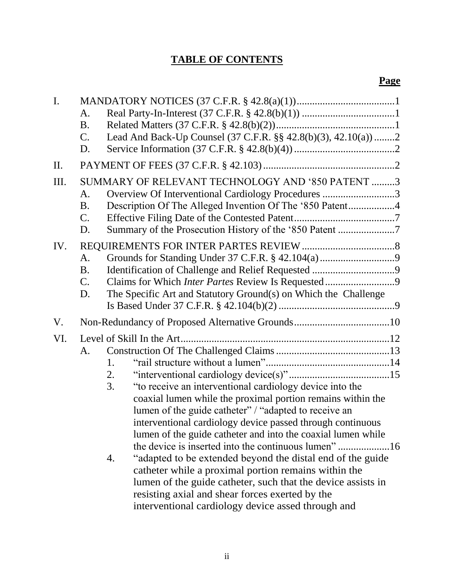# **TABLE OF CONTENTS**

| $\mathbf{I}$ . | A.<br><b>B.</b><br>Lead And Back-Up Counsel (37 C.F.R. §§ 42.8(b)(3), 42.10(a))2<br>$\mathbf{C}$ .                                                                                                                                                                                                                                                                                                                                                                                                                                                                                                                                          |  |  |  |
|----------------|---------------------------------------------------------------------------------------------------------------------------------------------------------------------------------------------------------------------------------------------------------------------------------------------------------------------------------------------------------------------------------------------------------------------------------------------------------------------------------------------------------------------------------------------------------------------------------------------------------------------------------------------|--|--|--|
|                | D.                                                                                                                                                                                                                                                                                                                                                                                                                                                                                                                                                                                                                                          |  |  |  |
| II.            |                                                                                                                                                                                                                                                                                                                                                                                                                                                                                                                                                                                                                                             |  |  |  |
| Ш.             | SUMMARY OF RELEVANT TECHNOLOGY AND '850 PATENT 3<br>Overview Of Interventional Cardiology Procedures 3<br>A.<br>Description Of The Alleged Invention Of The '850 Patent4<br><b>B.</b><br>$\mathbf{C}$ .<br>Summary of the Prosecution History of the '850 Patent 7<br>D.                                                                                                                                                                                                                                                                                                                                                                    |  |  |  |
| IV.            | A.<br><b>B.</b><br>C.<br>Claims for Which Inter Partes Review Is Requested9<br>The Specific Art and Statutory Ground(s) on Which the Challenge<br>D.                                                                                                                                                                                                                                                                                                                                                                                                                                                                                        |  |  |  |
| V.             |                                                                                                                                                                                                                                                                                                                                                                                                                                                                                                                                                                                                                                             |  |  |  |
| VI.            |                                                                                                                                                                                                                                                                                                                                                                                                                                                                                                                                                                                                                                             |  |  |  |
|                | A.<br>1.<br>2.<br>"to receive an interventional cardiology device into the<br>3.<br>coaxial lumen while the proximal portion remains within the<br>lumen of the guide catheter" / "adapted to receive an<br>interventional cardiology device passed through continuous<br>lumen of the guide catheter and into the coaxial lumen while<br>"adapted to be extended beyond the distal end of the guide<br>4.<br>catheter while a proximal portion remains within the<br>lumen of the guide catheter, such that the device assists in<br>resisting axial and shear forces exerted by the<br>interventional cardiology device assed through and |  |  |  |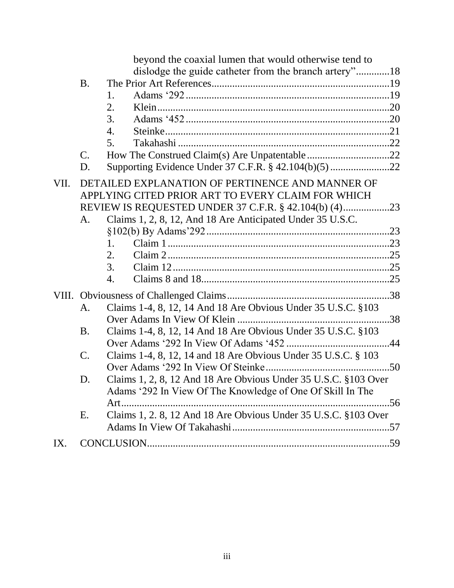|      |                 | beyond the coaxial lumen that would otherwise tend to                                                                         |            |
|------|-----------------|-------------------------------------------------------------------------------------------------------------------------------|------------|
|      |                 | dislodge the guide catheter from the branch artery"18                                                                         |            |
|      | <b>B.</b>       |                                                                                                                               |            |
|      |                 | 1.                                                                                                                            |            |
|      |                 | 2.                                                                                                                            |            |
|      |                 | 3.                                                                                                                            |            |
|      |                 | 4.                                                                                                                            |            |
|      |                 | 5.                                                                                                                            |            |
|      | $\mathcal{C}$ . |                                                                                                                               |            |
|      | D.              | Supporting Evidence Under 37 C.F.R. § 42.104(b)(5) 22                                                                         |            |
| VII. |                 | DETAILED EXPLANATION OF PERTINENCE AND MANNER OF<br>APPLYING CITED PRIOR ART TO EVERY CLAIM FOR WHICH                         |            |
|      | А.              | Claims 1, 2, 8, 12, And 18 Are Anticipated Under 35 U.S.C.                                                                    |            |
|      |                 |                                                                                                                               |            |
|      |                 | 1.                                                                                                                            |            |
|      |                 | 2.                                                                                                                            |            |
|      |                 | 3.                                                                                                                            |            |
|      |                 | 4.                                                                                                                            |            |
|      |                 |                                                                                                                               |            |
|      | А.              | Claims 1-4, 8, 12, 14 And 18 Are Obvious Under 35 U.S.C. §103                                                                 |            |
|      |                 |                                                                                                                               |            |
|      | B.              | Claims 1-4, 8, 12, 14 And 18 Are Obvious Under 35 U.S.C. §103                                                                 |            |
|      |                 | . 44                                                                                                                          |            |
|      | C.              | Claims 1-4, 8, 12, 14 and 18 Are Obvious Under 35 U.S.C. § 103                                                                |            |
|      | D.              | Claims 1, 2, 8, 12 And 18 Are Obvious Under 35 U.S.C. §103 Over<br>Adams '292 In View Of The Knowledge of One Of Skill In The |            |
|      |                 | Art                                                                                                                           | $\dots$ 56 |
|      | Ε.              | Claims 1, 2. 8, 12 And 18 Are Obvious Under 35 U.S.C. §103 Over                                                               |            |
| IX.  |                 |                                                                                                                               |            |
|      |                 |                                                                                                                               |            |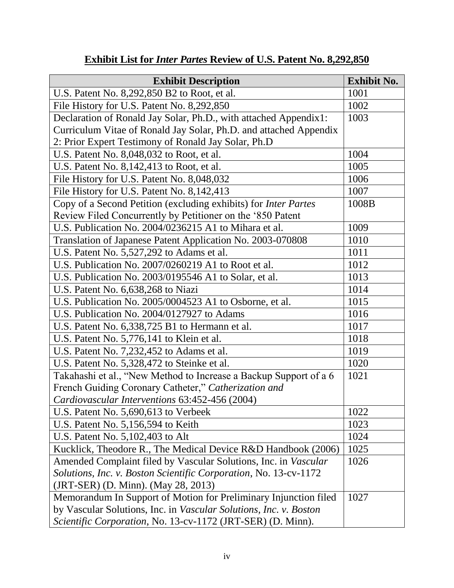| <b>Exhibit Description</b>                                             | <b>Exhibit No.</b> |
|------------------------------------------------------------------------|--------------------|
| U.S. Patent No. 8,292,850 B2 to Root, et al.                           | 1001               |
| File History for U.S. Patent No. 8,292,850                             | 1002               |
| Declaration of Ronald Jay Solar, Ph.D., with attached Appendix1:       | 1003               |
| Curriculum Vitae of Ronald Jay Solar, Ph.D. and attached Appendix      |                    |
| 2: Prior Expert Testimony of Ronald Jay Solar, Ph.D                    |                    |
| U.S. Patent No. 8,048,032 to Root, et al.                              | 1004               |
| U.S. Patent No. 8,142,413 to Root, et al.                              | 1005               |
| File History for U.S. Patent No. 8,048,032                             | 1006               |
| File History for U.S. Patent No. 8,142,413                             | 1007               |
| Copy of a Second Petition (excluding exhibits) for <i>Inter Partes</i> | 1008B              |
| Review Filed Concurrently by Petitioner on the '850 Patent             |                    |
| U.S. Publication No. 2004/0236215 A1 to Mihara et al.                  | 1009               |
| Translation of Japanese Patent Application No. 2003-070808             | 1010               |
| U.S. Patent No. 5,527,292 to Adams et al.                              | 1011               |
| U.S. Publication No. 2007/0260219 A1 to Root et al.                    | 1012               |
| U.S. Publication No. 2003/0195546 A1 to Solar, et al.                  | 1013               |
| U.S. Patent No. 6,638,268 to Niazi                                     | 1014               |
| U.S. Publication No. 2005/0004523 A1 to Osborne, et al.                | 1015               |
| U.S. Publication No. 2004/0127927 to Adams                             | 1016               |
| U.S. Patent No. 6,338,725 B1 to Hermann et al.                         | 1017               |
| U.S. Patent No. 5,776,141 to Klein et al.                              | 1018               |
| U.S. Patent No. 7,232,452 to Adams et al.                              | 1019               |
| U.S. Patent No. 5,328,472 to Steinke et al.                            | 1020               |
| Takahashi et al., "New Method to Increase a Backup Support of a 6      | 1021               |
| French Guiding Coronary Catheter," Catherization and                   |                    |
| Cardiovascular Interventions 63:452-456 (2004)                         |                    |
| U.S. Patent No. 5,690,613 to Verbeek                                   | 1022               |
| U.S. Patent No. 5,156,594 to Keith                                     | 1023               |
| U.S. Patent No. 5, 102, 403 to Alt                                     | 1024               |
| Kucklick, Theodore R., The Medical Device R&D Handbook (2006)          | 1025               |
| Amended Complaint filed by Vascular Solutions, Inc. in Vascular        | 1026               |
| Solutions, Inc. v. Boston Scientific Corporation, No. 13-cv-1172       |                    |
| (JRT-SER) (D. Minn). (May 28, 2013)                                    |                    |
| Memorandum In Support of Motion for Preliminary Injunction filed       | 1027               |
| by Vascular Solutions, Inc. in Vascular Solutions, Inc. v. Boston      |                    |
| Scientific Corporation, No. 13-cv-1172 (JRT-SER) (D. Minn).            |                    |

# **Exhibit List for** *Inter Partes* **Review of U.S. Patent No. 8,292,850**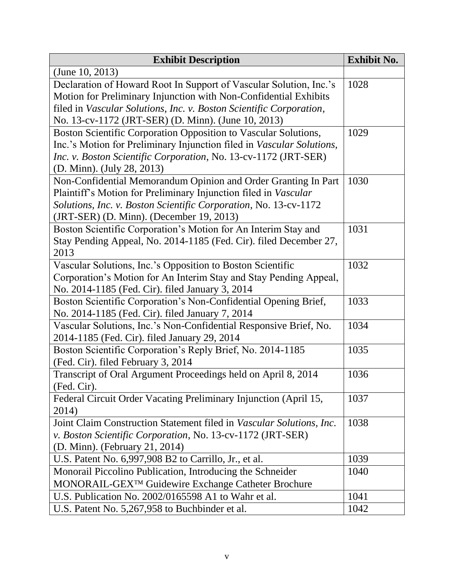| <b>Exhibit Description</b>                                            | <b>Exhibit No.</b> |  |
|-----------------------------------------------------------------------|--------------------|--|
| (June 10, 2013)                                                       |                    |  |
| Declaration of Howard Root In Support of Vascular Solution, Inc.'s    | 1028               |  |
| Motion for Preliminary Injunction with Non-Confidential Exhibits      |                    |  |
| filed in Vascular Solutions, Inc. v. Boston Scientific Corporation,   |                    |  |
| No. 13-cv-1172 (JRT-SER) (D. Minn). (June 10, 2013)                   |                    |  |
| Boston Scientific Corporation Opposition to Vascular Solutions,       | 1029               |  |
| Inc.'s Motion for Preliminary Injunction filed in Vascular Solutions, |                    |  |
| Inc. v. Boston Scientific Corporation, No. 13-cv-1172 (JRT-SER)       |                    |  |
| (D. Minn). (July 28, 2013)                                            |                    |  |
| Non-Confidential Memorandum Opinion and Order Granting In Part        | 1030               |  |
| Plaintiff's Motion for Preliminary Injunction filed in Vascular       |                    |  |
| Solutions, Inc. v. Boston Scientific Corporation, No. 13-cv-1172      |                    |  |
| (JRT-SER) (D. Minn). (December 19, 2013)                              |                    |  |
| Boston Scientific Corporation's Motion for An Interim Stay and        | 1031               |  |
| Stay Pending Appeal, No. 2014-1185 (Fed. Cir). filed December 27,     |                    |  |
| 2013                                                                  |                    |  |
| Vascular Solutions, Inc.'s Opposition to Boston Scientific            | 1032               |  |
| Corporation's Motion for An Interim Stay and Stay Pending Appeal,     |                    |  |
| No. 2014-1185 (Fed. Cir). filed January 3, 2014                       |                    |  |
| Boston Scientific Corporation's Non-Confidential Opening Brief,       | 1033               |  |
| No. 2014-1185 (Fed. Cir). filed January 7, 2014                       |                    |  |
| Vascular Solutions, Inc.'s Non-Confidential Responsive Brief, No.     | 1034               |  |
| 2014-1185 (Fed. Cir). filed January 29, 2014                          |                    |  |
| Boston Scientific Corporation's Reply Brief, No. 2014-1185            | 1035               |  |
| (Fed. Cir). filed February 3, 2014                                    |                    |  |
| Transcript of Oral Argument Proceedings held on April 8, 2014         | 1036               |  |
| (Fed. Cir).                                                           |                    |  |
| Federal Circuit Order Vacating Preliminary Injunction (April 15,      | 1037               |  |
| 2014)                                                                 |                    |  |
| Joint Claim Construction Statement filed in Vascular Solutions, Inc.  | 1038               |  |
| v. Boston Scientific Corporation, No. 13-cv-1172 (JRT-SER)            |                    |  |
| (D. Minn). (February 21, 2014)                                        |                    |  |
| U.S. Patent No. 6,997,908 B2 to Carrillo, Jr., et al.                 | 1039               |  |
| Monorail Piccolino Publication, Introducing the Schneider             | 1040               |  |
| MONORAIL-GEX <sup>™</sup> Guidewire Exchange Catheter Brochure        |                    |  |
| U.S. Publication No. 2002/0165598 A1 to Wahr et al.                   | 1041               |  |
| U.S. Patent No. 5,267,958 to Buchbinder et al.                        | 1042               |  |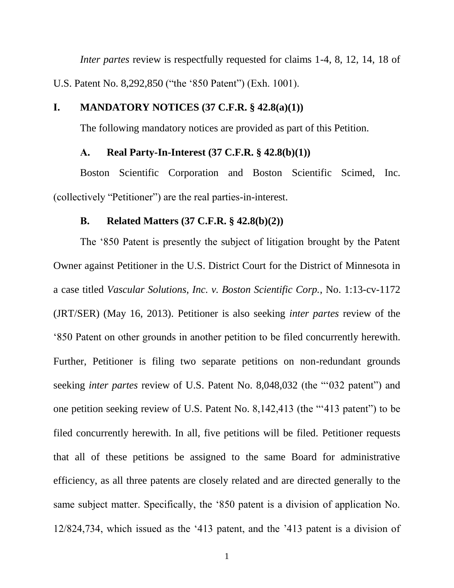*Inter partes* review is respectfully requested for claims 1-4, 8, 12, 14, 18 of U.S. Patent No. 8,292,850 ("the '850 Patent") (Exh. 1001).

# <span id="page-5-0"></span>**I. MANDATORY NOTICES (37 C.F.R. § 42.8(a)(1))**

The following mandatory notices are provided as part of this Petition.

### **A. Real Party-In-Interest (37 C.F.R. § 42.8(b)(1))**

<span id="page-5-1"></span>Boston Scientific Corporation and Boston Scientific Scimed, Inc. (collectively "Petitioner") are the real parties-in-interest.

### **B. Related Matters (37 C.F.R. § 42.8(b)(2))**

<span id="page-5-2"></span>The '850 Patent is presently the subject of litigation brought by the Patent Owner against Petitioner in the U.S. District Court for the District of Minnesota in a case titled *Vascular Solutions, Inc. v. Boston Scientific Corp.*, No. 1:13-cv-1172 (JRT/SER) (May 16, 2013). Petitioner is also seeking *inter partes* review of the '850 Patent on other grounds in another petition to be filed concurrently herewith. Further, Petitioner is filing two separate petitions on non-redundant grounds seeking *inter partes* review of U.S. Patent No. 8,048,032 (the "'032 patent") and one petition seeking review of U.S. Patent No. 8,142,413 (the "'413 patent") to be filed concurrently herewith. In all, five petitions will be filed. Petitioner requests that all of these petitions be assigned to the same Board for administrative efficiency, as all three patents are closely related and are directed generally to the same subject matter. Specifically, the '850 patent is a division of application No. 12/824,734, which issued as the '413 patent, and the '413 patent is a division of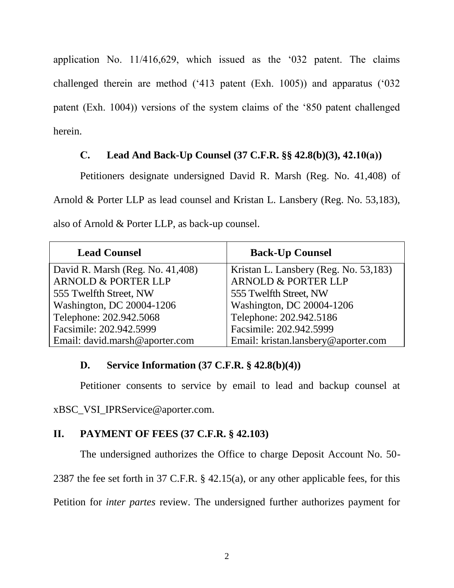application No. 11/416,629, which issued as the '032 patent. The claims challenged therein are method ('413 patent (Exh. 1005)) and apparatus ('032 patent (Exh. 1004)) versions of the system claims of the '850 patent challenged herein.

# **C. Lead And Back-Up Counsel (37 C.F.R. §§ 42.8(b)(3), 42.10(a))**

<span id="page-6-0"></span>Petitioners designate undersigned David R. Marsh (Reg. No. 41,408) of Arnold & Porter LLP as lead counsel and Kristan L. Lansbery (Reg. No. 53,183), also of Arnold & Porter LLP, as back-up counsel.

| <b>Lead Counsel</b>              | <b>Back-Up Counsel</b>                |
|----------------------------------|---------------------------------------|
| David R. Marsh (Reg. No. 41,408) | Kristan L. Lansbery (Reg. No. 53,183) |
| <b>ARNOLD &amp; PORTER LLP</b>   | <b>ARNOLD &amp; PORTER LLP</b>        |
| 555 Twelfth Street, NW           | 555 Twelfth Street, NW                |
| Washington, DC 20004-1206        | Washington, DC 20004-1206             |
| Telephone: 202.942.5068          | Telephone: 202.942.5186               |
| Facsimile: 202.942.5999          | Facsimile: 202.942.5999               |
| Email: david.marsh@aporter.com   | Email: kristan.lansbery@aporter.com   |

# <span id="page-6-1"></span>**D. Service Information (37 C.F.R. § 42.8(b)(4))**

Petitioner consents to service by email to lead and backup counsel at

xBSC\_VSI\_IPRService@aporter.com.

# <span id="page-6-2"></span>**II. PAYMENT OF FEES (37 C.F.R. § 42.103)**

The undersigned authorizes the Office to charge Deposit Account No. 50-

2387 the fee set forth in 37 C.F.R. § 42.15(a), or any other applicable fees, for this

Petition for *inter partes* review. The undersigned further authorizes payment for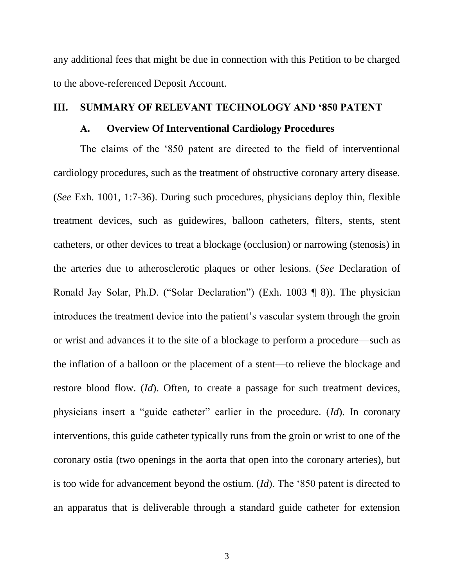any additional fees that might be due in connection with this Petition to be charged to the above-referenced Deposit Account.

#### <span id="page-7-1"></span><span id="page-7-0"></span>**III. SUMMARY OF RELEVANT TECHNOLOGY AND '850 PATENT**

#### **A. Overview Of Interventional Cardiology Procedures**

The claims of the '850 patent are directed to the field of interventional cardiology procedures, such as the treatment of obstructive coronary artery disease. (*See* Exh. 1001, 1:7-36). During such procedures, physicians deploy thin, flexible treatment devices, such as guidewires, balloon catheters, filters, stents, stent catheters, or other devices to treat a blockage (occlusion) or narrowing (stenosis) in the arteries due to atherosclerotic plaques or other lesions. (*See* Declaration of Ronald Jay Solar, Ph.D. ("Solar Declaration") (Exh. 1003 ¶ 8)). The physician introduces the treatment device into the patient's vascular system through the groin or wrist and advances it to the site of a blockage to perform a procedure—such as the inflation of a balloon or the placement of a stent—to relieve the blockage and restore blood flow. (*Id*). Often, to create a passage for such treatment devices, physicians insert a "guide catheter" earlier in the procedure. (*Id*). In coronary interventions, this guide catheter typically runs from the groin or wrist to one of the coronary ostia (two openings in the aorta that open into the coronary arteries), but is too wide for advancement beyond the ostium. (*Id*). The '850 patent is directed to an apparatus that is deliverable through a standard guide catheter for extension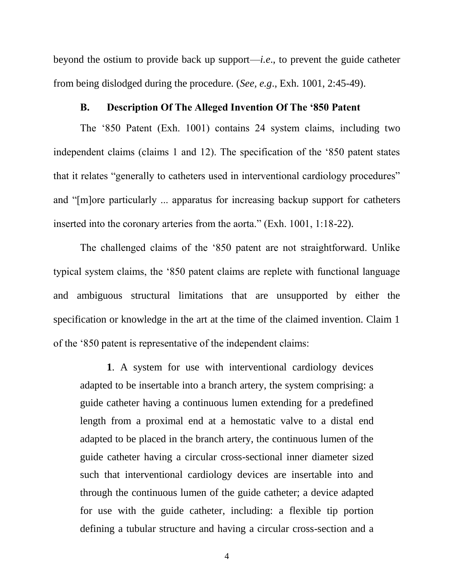beyond the ostium to provide back up support—*i.e*., to prevent the guide catheter from being dislodged during the procedure. (*See, e.g*., Exh. 1001, 2:45-49).

#### **B. Description Of The Alleged Invention Of The '850 Patent**

<span id="page-8-0"></span>The '850 Patent (Exh. 1001) contains 24 system claims, including two independent claims (claims 1 and 12). The specification of the '850 patent states that it relates "generally to catheters used in interventional cardiology procedures" and "[m]ore particularly ... apparatus for increasing backup support for catheters inserted into the coronary arteries from the aorta." (Exh. 1001, 1:18-22).

The challenged claims of the '850 patent are not straightforward. Unlike typical system claims, the '850 patent claims are replete with functional language and ambiguous structural limitations that are unsupported by either the specification or knowledge in the art at the time of the claimed invention. Claim 1 of the '850 patent is representative of the independent claims:

**1**. A system for use with interventional cardiology devices adapted to be insertable into a branch artery, the system comprising: a guide catheter having a continuous lumen extending for a predefined length from a proximal end at a hemostatic valve to a distal end adapted to be placed in the branch artery, the continuous lumen of the guide catheter having a circular cross-sectional inner diameter sized such that interventional cardiology devices are insertable into and through the continuous lumen of the guide catheter; a device adapted for use with the guide catheter, including: a flexible tip portion defining a tubular structure and having a circular cross-section and a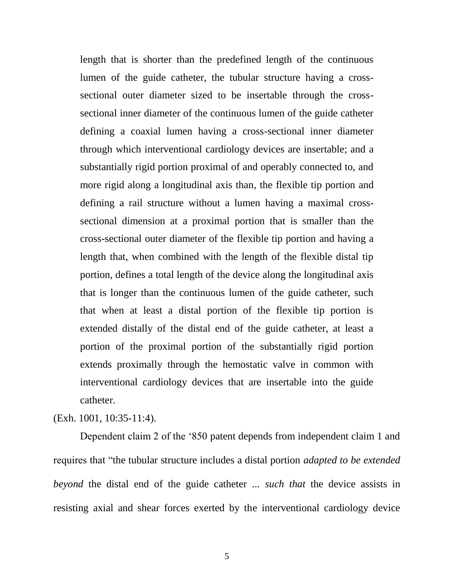length that is shorter than the predefined length of the continuous lumen of the guide catheter, the tubular structure having a crosssectional outer diameter sized to be insertable through the crosssectional inner diameter of the continuous lumen of the guide catheter defining a coaxial lumen having a cross-sectional inner diameter through which interventional cardiology devices are insertable; and a substantially rigid portion proximal of and operably connected to, and more rigid along a longitudinal axis than, the flexible tip portion and defining a rail structure without a lumen having a maximal crosssectional dimension at a proximal portion that is smaller than the cross-sectional outer diameter of the flexible tip portion and having a length that, when combined with the length of the flexible distal tip portion, defines a total length of the device along the longitudinal axis that is longer than the continuous lumen of the guide catheter, such that when at least a distal portion of the flexible tip portion is extended distally of the distal end of the guide catheter, at least a portion of the proximal portion of the substantially rigid portion extends proximally through the hemostatic valve in common with interventional cardiology devices that are insertable into the guide catheter.

(Exh. 1001, 10:35-11:4).

Dependent claim 2 of the '850 patent depends from independent claim 1 and requires that "the tubular structure includes a distal portion *adapted to be extended beyond* the distal end of the guide catheter ... *such that* the device assists in resisting axial and shear forces exerted by the interventional cardiology device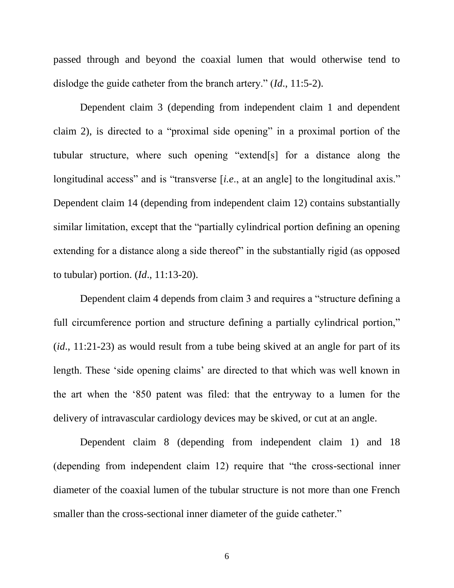passed through and beyond the coaxial lumen that would otherwise tend to dislodge the guide catheter from the branch artery." (*Id*., 11:5-2).

Dependent claim 3 (depending from independent claim 1 and dependent claim 2), is directed to a "proximal side opening" in a proximal portion of the tubular structure, where such opening "extend[s] for a distance along the longitudinal access" and is "transverse [*i.e.*, at an angle] to the longitudinal axis." Dependent claim 14 (depending from independent claim 12) contains substantially similar limitation, except that the "partially cylindrical portion defining an opening extending for a distance along a side thereof" in the substantially rigid (as opposed to tubular) portion. (*Id*., 11:13-20).

Dependent claim 4 depends from claim 3 and requires a "structure defining a full circumference portion and structure defining a partially cylindrical portion," (*id*., 11:21-23) as would result from a tube being skived at an angle for part of its length. These 'side opening claims' are directed to that which was well known in the art when the '850 patent was filed: that the entryway to a lumen for the delivery of intravascular cardiology devices may be skived, or cut at an angle.

Dependent claim 8 (depending from independent claim 1) and 18 (depending from independent claim 12) require that "the cross-sectional inner diameter of the coaxial lumen of the tubular structure is not more than one French smaller than the cross-sectional inner diameter of the guide catheter."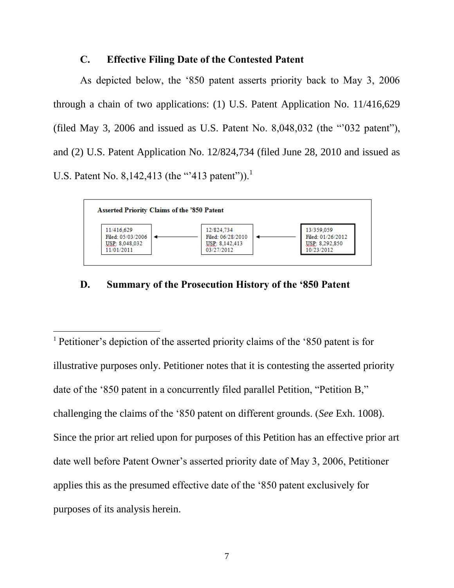### **C. Effective Filing Date of the Contested Patent**

<span id="page-11-0"></span>As depicted below, the '850 patent asserts priority back to May 3, 2006 through a chain of two applications: (1) U.S. Patent Application No. 11/416,629 (filed May 3, 2006 and issued as U.S. Patent No. 8,048,032 (the "'032 patent"), and (2) U.S. Patent Application No. 12/824,734 (filed June 28, 2010 and issued as U.S. Patent No. 8,142,413 (the "'413 patent")).<sup>1</sup>



# <span id="page-11-1"></span>**D. Summary of the Prosecution History of the '850 Patent**

 $\overline{a}$ 

<sup>1</sup> Petitioner's depiction of the asserted priority claims of the '850 patent is for illustrative purposes only. Petitioner notes that it is contesting the asserted priority date of the '850 patent in a concurrently filed parallel Petition, "Petition B," challenging the claims of the '850 patent on different grounds. (*See* Exh. 1008). Since the prior art relied upon for purposes of this Petition has an effective prior art date well before Patent Owner's asserted priority date of May 3, 2006, Petitioner applies this as the presumed effective date of the '850 patent exclusively for purposes of its analysis herein.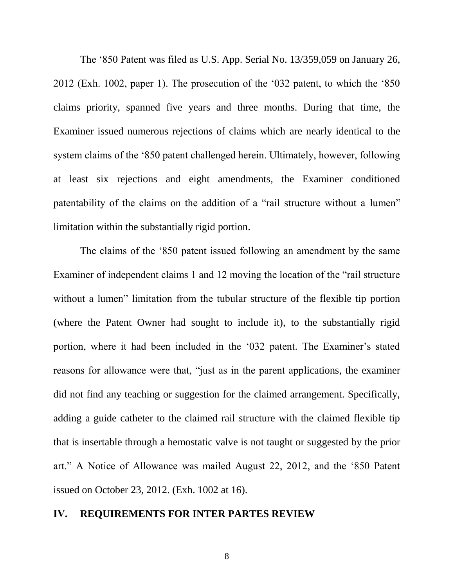The '850 Patent was filed as U.S. App. Serial No. 13/359,059 on January 26, 2012 (Exh. 1002, paper 1). The prosecution of the '032 patent, to which the '850 claims priority, spanned five years and three months. During that time, the Examiner issued numerous rejections of claims which are nearly identical to the system claims of the '850 patent challenged herein. Ultimately, however, following at least six rejections and eight amendments, the Examiner conditioned patentability of the claims on the addition of a "rail structure without a lumen" limitation within the substantially rigid portion.

The claims of the '850 patent issued following an amendment by the same Examiner of independent claims 1 and 12 moving the location of the "rail structure without a lumen" limitation from the tubular structure of the flexible tip portion (where the Patent Owner had sought to include it), to the substantially rigid portion, where it had been included in the '032 patent. The Examiner's stated reasons for allowance were that, "just as in the parent applications, the examiner did not find any teaching or suggestion for the claimed arrangement. Specifically, adding a guide catheter to the claimed rail structure with the claimed flexible tip that is insertable through a hemostatic valve is not taught or suggested by the prior art." A Notice of Allowance was mailed August 22, 2012, and the '850 Patent issued on October 23, 2012. (Exh. 1002 at 16).

#### <span id="page-12-0"></span>**IV. REQUIREMENTS FOR INTER PARTES REVIEW**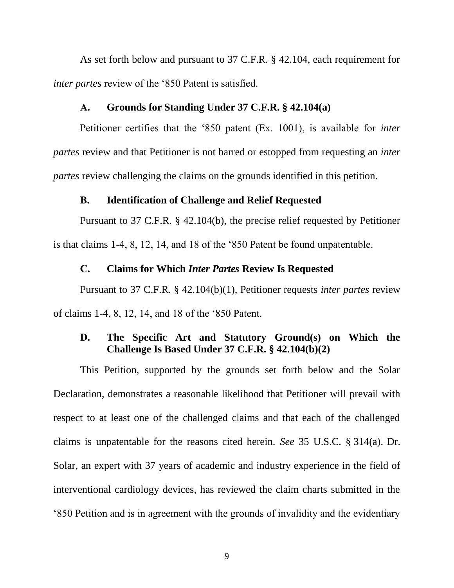As set forth below and pursuant to 37 C.F.R. § 42.104, each requirement for *inter partes* review of the '850 Patent is satisfied.

#### **A. Grounds for Standing Under 37 C.F.R. § 42.104(a)**

<span id="page-13-0"></span>Petitioner certifies that the '850 patent (Ex. 1001), is available for *inter partes* review and that Petitioner is not barred or estopped from requesting an *inter partes* review challenging the claims on the grounds identified in this petition.

#### **B. Identification of Challenge and Relief Requested**

<span id="page-13-1"></span>Pursuant to 37 C.F.R. § 42.104(b), the precise relief requested by Petitioner is that claims 1-4, 8, 12, 14, and 18 of the '850 Patent be found unpatentable.

#### **C. Claims for Which** *Inter Partes* **Review Is Requested**

<span id="page-13-2"></span>Pursuant to 37 C.F.R. § 42.104(b)(1), Petitioner requests *inter partes* review of claims 1-4, 8, 12, 14, and 18 of the '850 Patent.

# <span id="page-13-3"></span>**D. The Specific Art and Statutory Ground(s) on Which the Challenge Is Based Under 37 C.F.R. § 42.104(b)(2)**

This Petition, supported by the grounds set forth below and the Solar Declaration, demonstrates a reasonable likelihood that Petitioner will prevail with respect to at least one of the challenged claims and that each of the challenged claims is unpatentable for the reasons cited herein. *See* 35 U.S.C. § 314(a). Dr. Solar, an expert with 37 years of academic and industry experience in the field of interventional cardiology devices, has reviewed the claim charts submitted in the '850 Petition and is in agreement with the grounds of invalidity and the evidentiary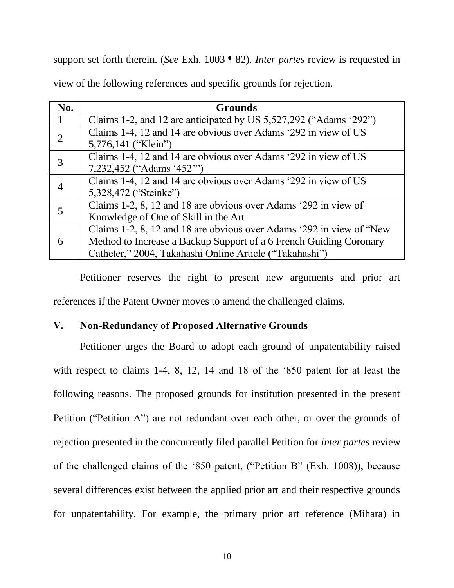support set forth therein. (*See* Exh. 1003 ¶ 82). *Inter partes* review is requested in

|  |  | view of the following references and specific grounds for rejection. |  |  |  |
|--|--|----------------------------------------------------------------------|--|--|--|
|  |  |                                                                      |  |  |  |

| No.            | <b>Grounds</b>                                                       |
|----------------|----------------------------------------------------------------------|
|                | Claims 1-2, and 12 are anticipated by US 5,527,292 ("Adams '292")    |
| $\overline{2}$ | Claims 1-4, 12 and 14 are obvious over Adams '292 in view of US      |
|                | 5,776,141 ("Klein")                                                  |
| 3              | Claims 1-4, 12 and 14 are obvious over Adams '292 in view of US      |
|                | 7,232,452 ("Adams '452"")                                            |
|                | Claims 1-4, 12 and 14 are obvious over Adams '292 in view of US      |
|                | 5,328,472 ("Steinke")                                                |
| 5              | Claims 1-2, 8, 12 and 18 are obvious over Adams '292 in view of      |
|                | Knowledge of One of Skill in the Art                                 |
|                | Claims 1-2, 8, 12 and 18 are obvious over Adams '292 in view of "New |
| 6              | Method to Increase a Backup Support of a 6 French Guiding Coronary   |
|                | Catheter," 2004, Takahashi Online Article ("Takahashi")              |

Petitioner reserves the right to present new arguments and prior art references if the Patent Owner moves to amend the challenged claims.

# <span id="page-14-0"></span>**V. Non-Redundancy of Proposed Alternative Grounds**

Petitioner urges the Board to adopt each ground of unpatentability raised with respect to claims 1-4, 8, 12, 14 and 18 of the '850 patent for at least the following reasons. The proposed grounds for institution presented in the present Petition ("Petition A") are not redundant over each other, or over the grounds of rejection presented in the concurrently filed parallel Petition for *inter partes* review of the challenged claims of the '850 patent, ("Petition B" (Exh. 1008)), because several differences exist between the applied prior art and their respective grounds for unpatentability. For example, the primary prior art reference (Mihara) in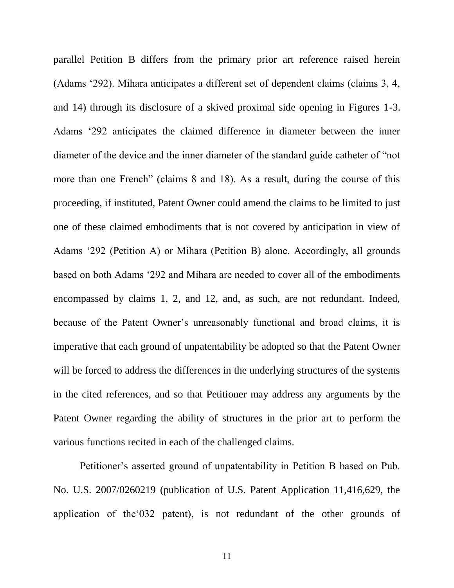parallel Petition B differs from the primary prior art reference raised herein (Adams '292). Mihara anticipates a different set of dependent claims (claims 3, 4, and 14) through its disclosure of a skived proximal side opening in Figures 1-3. Adams '292 anticipates the claimed difference in diameter between the inner diameter of the device and the inner diameter of the standard guide catheter of "not more than one French" (claims 8 and 18). As a result, during the course of this proceeding, if instituted, Patent Owner could amend the claims to be limited to just one of these claimed embodiments that is not covered by anticipation in view of Adams '292 (Petition A) or Mihara (Petition B) alone. Accordingly, all grounds based on both Adams '292 and Mihara are needed to cover all of the embodiments encompassed by claims 1, 2, and 12, and, as such, are not redundant. Indeed, because of the Patent Owner's unreasonably functional and broad claims, it is imperative that each ground of unpatentability be adopted so that the Patent Owner will be forced to address the differences in the underlying structures of the systems in the cited references, and so that Petitioner may address any arguments by the Patent Owner regarding the ability of structures in the prior art to perform the various functions recited in each of the challenged claims.

Petitioner's asserted ground of unpatentability in Petition B based on Pub. No. U.S. 2007/0260219 (publication of U.S. Patent Application 11,416,629, the application of the'032 patent), is not redundant of the other grounds of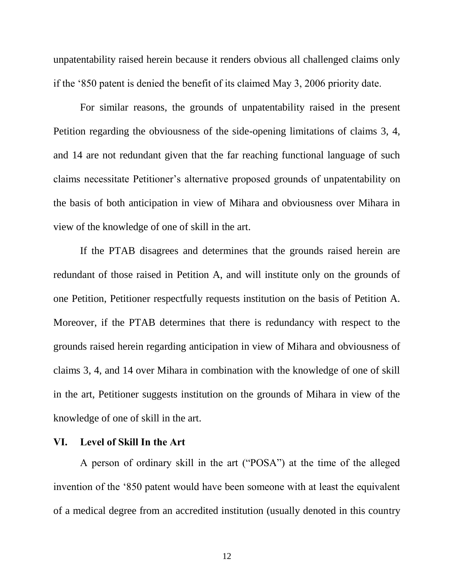unpatentability raised herein because it renders obvious all challenged claims only if the '850 patent is denied the benefit of its claimed May 3, 2006 priority date.

For similar reasons, the grounds of unpatentability raised in the present Petition regarding the obviousness of the side-opening limitations of claims 3, 4, and 14 are not redundant given that the far reaching functional language of such claims necessitate Petitioner's alternative proposed grounds of unpatentability on the basis of both anticipation in view of Mihara and obviousness over Mihara in view of the knowledge of one of skill in the art.

If the PTAB disagrees and determines that the grounds raised herein are redundant of those raised in Petition A, and will institute only on the grounds of one Petition, Petitioner respectfully requests institution on the basis of Petition A. Moreover, if the PTAB determines that there is redundancy with respect to the grounds raised herein regarding anticipation in view of Mihara and obviousness of claims 3, 4, and 14 over Mihara in combination with the knowledge of one of skill in the art, Petitioner suggests institution on the grounds of Mihara in view of the knowledge of one of skill in the art.

#### <span id="page-16-0"></span>**VI. Level of Skill In the Art**

A person of ordinary skill in the art ("POSA") at the time of the alleged invention of the '850 patent would have been someone with at least the equivalent of a medical degree from an accredited institution (usually denoted in this country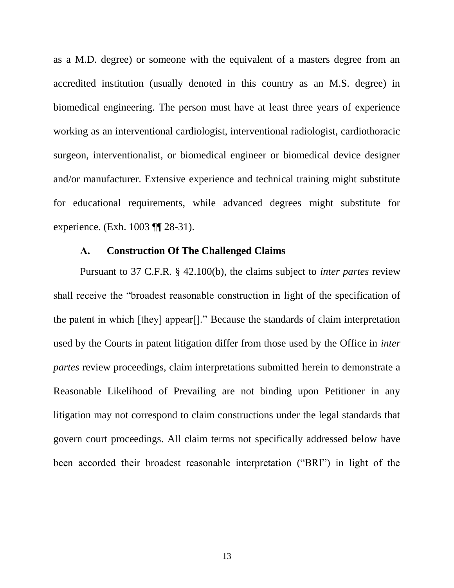as a M.D. degree) or someone with the equivalent of a masters degree from an accredited institution (usually denoted in this country as an M.S. degree) in biomedical engineering. The person must have at least three years of experience working as an interventional cardiologist, interventional radiologist, cardiothoracic surgeon, interventionalist, or biomedical engineer or biomedical device designer and/or manufacturer. Extensive experience and technical training might substitute for educational requirements, while advanced degrees might substitute for experience. (Exh. 1003 ¶¶ 28-31).

### **A. Construction Of The Challenged Claims**

<span id="page-17-0"></span>Pursuant to 37 C.F.R. § 42.100(b), the claims subject to *inter partes* review shall receive the "broadest reasonable construction in light of the specification of the patent in which [they] appear[]." Because the standards of claim interpretation used by the Courts in patent litigation differ from those used by the Office in *inter partes* review proceedings, claim interpretations submitted herein to demonstrate a Reasonable Likelihood of Prevailing are not binding upon Petitioner in any litigation may not correspond to claim constructions under the legal standards that govern court proceedings. All claim terms not specifically addressed below have been accorded their broadest reasonable interpretation ("BRI") in light of the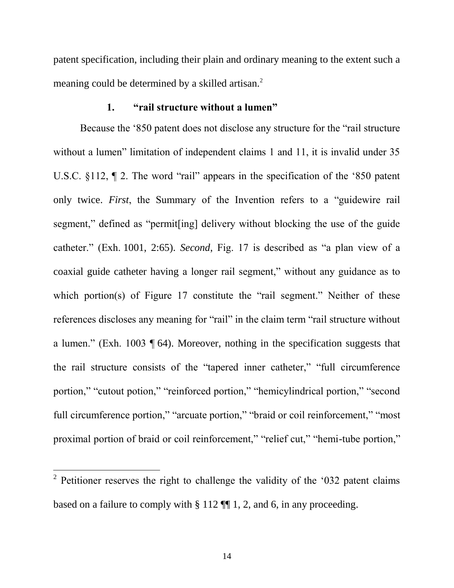patent specification, including their plain and ordinary meaning to the extent such a meaning could be determined by a skilled artisan.<sup>2</sup>

### **1. "rail structure without a lumen"**

<span id="page-18-0"></span>Because the '850 patent does not disclose any structure for the "rail structure without a lumen" limitation of independent claims 1 and 11, it is invalid under 35 U.S.C. §112, ¶ 2. The word "rail" appears in the specification of the '850 patent only twice. *First*, the Summary of the Invention refers to a "guidewire rail segment," defined as "permit[ing] delivery without blocking the use of the guide catheter." (Exh. 1001, 2:65). *Second*, Fig. 17 is described as "a plan view of a coaxial guide catheter having a longer rail segment," without any guidance as to which portion(s) of Figure 17 constitute the "rail segment." Neither of these references discloses any meaning for "rail" in the claim term "rail structure without a lumen." (Exh. 1003 ¶ 64). Moreover, nothing in the specification suggests that the rail structure consists of the "tapered inner catheter," "full circumference portion," "cutout potion," "reinforced portion," "hemicylindrical portion," "second full circumference portion," "arcuate portion," "braid or coil reinforcement," "most proximal portion of braid or coil reinforcement," "relief cut," "hemi-tube portion,"

 $\overline{a}$ 

<sup>&</sup>lt;sup>2</sup> Petitioner reserves the right to challenge the validity of the '032 patent claims based on a failure to comply with § 112 ¶¶ 1, 2, and 6, in any proceeding.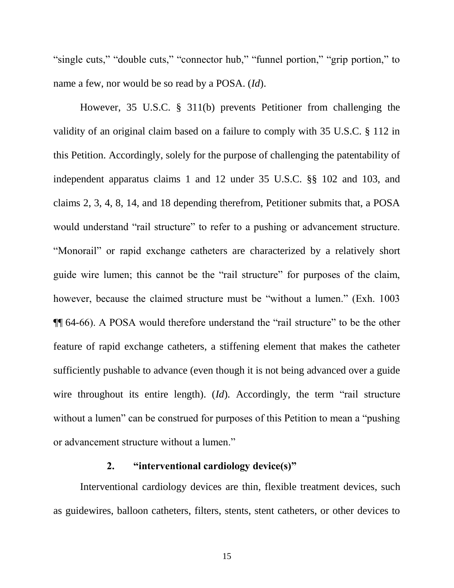"single cuts," "double cuts," "connector hub," "funnel portion," "grip portion," to name a few, nor would be so read by a POSA. (*Id*).

However, 35 U.S.C. § 311(b) prevents Petitioner from challenging the validity of an original claim based on a failure to comply with 35 U.S.C. § 112 in this Petition. Accordingly, solely for the purpose of challenging the patentability of independent apparatus claims 1 and 12 under 35 U.S.C. §§ 102 and 103, and claims 2, 3, 4, 8, 14, and 18 depending therefrom, Petitioner submits that, a POSA would understand "rail structure" to refer to a pushing or advancement structure. "Monorail" or rapid exchange catheters are characterized by a relatively short guide wire lumen; this cannot be the "rail structure" for purposes of the claim, however, because the claimed structure must be "without a lumen." (Exh. 1003 ¶¶ 64-66). A POSA would therefore understand the "rail structure" to be the other feature of rapid exchange catheters, a stiffening element that makes the catheter sufficiently pushable to advance (even though it is not being advanced over a guide wire throughout its entire length). (*Id*). Accordingly, the term "rail structure without a lumen" can be construed for purposes of this Petition to mean a "pushing" or advancement structure without a lumen."

### **2. "interventional cardiology device(s)"**

<span id="page-19-0"></span>Interventional cardiology devices are thin, flexible treatment devices, such as guidewires, balloon catheters, filters, stents, stent catheters, or other devices to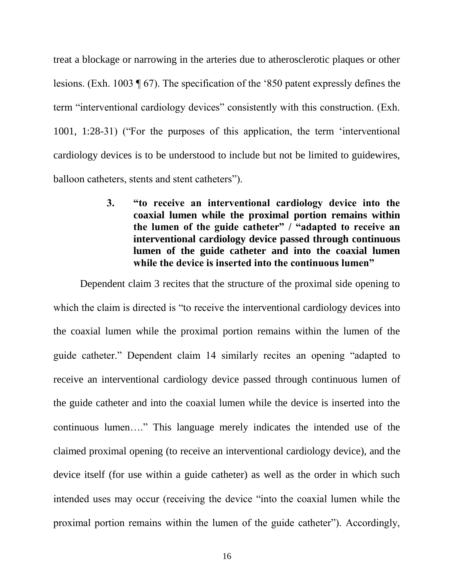treat a blockage or narrowing in the arteries due to atherosclerotic plaques or other lesions. (Exh. 1003 ¶ 67). The specification of the '850 patent expressly defines the term "interventional cardiology devices" consistently with this construction. (Exh. 1001, 1:28-31) ("For the purposes of this application, the term 'interventional cardiology devices is to be understood to include but not be limited to guidewires, balloon catheters, stents and stent catheters").

> <span id="page-20-0"></span>**3. "to receive an interventional cardiology device into the coaxial lumen while the proximal portion remains within the lumen of the guide catheter" / "adapted to receive an interventional cardiology device passed through continuous lumen of the guide catheter and into the coaxial lumen while the device is inserted into the continuous lumen"**

Dependent claim 3 recites that the structure of the proximal side opening to which the claim is directed is "to receive the interventional cardiology devices into the coaxial lumen while the proximal portion remains within the lumen of the guide catheter." Dependent claim 14 similarly recites an opening "adapted to receive an interventional cardiology device passed through continuous lumen of the guide catheter and into the coaxial lumen while the device is inserted into the continuous lumen…." This language merely indicates the intended use of the claimed proximal opening (to receive an interventional cardiology device), and the device itself (for use within a guide catheter) as well as the order in which such intended uses may occur (receiving the device "into the coaxial lumen while the proximal portion remains within the lumen of the guide catheter"). Accordingly,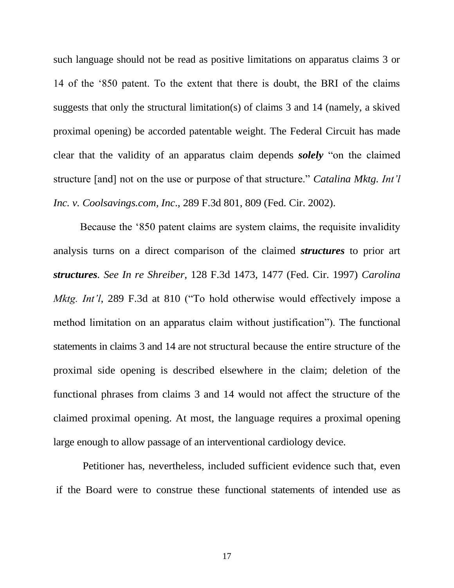such language should not be read as positive limitations on apparatus claims 3 or 14 of the '850 patent. To the extent that there is doubt, the BRI of the claims suggests that only the structural limitation(s) of claims 3 and 14 (namely, a skived proximal opening) be accorded patentable weight. The Federal Circuit has made clear that the validity of an apparatus claim depends *solely* "on the claimed structure [and] not on the use or purpose of that structure." *Catalina Mktg. Int'l Inc. v. Coolsavings.com, Inc*., 289 F.3d 801, 809 (Fed. Cir. 2002).

Because the '850 patent claims are system claims, the requisite invalidity analysis turns on a direct comparison of the claimed *structures* to prior art *structures. See In re Shreiber*, 128 F.3d 1473, 1477 (Fed. Cir. 1997) *Carolina Mktg. Int'l*, 289 F.3d at 810 ("To hold otherwise would effectively impose a method limitation on an apparatus claim without justification"). The functional statements in claims 3 and 14 are not structural because the entire structure of the proximal side opening is described elsewhere in the claim; deletion of the functional phrases from claims 3 and 14 would not affect the structure of the claimed proximal opening. At most, the language requires a proximal opening large enough to allow passage of an interventional cardiology device.

Petitioner has, nevertheless, included sufficient evidence such that, even if the Board were to construe these functional statements of intended use as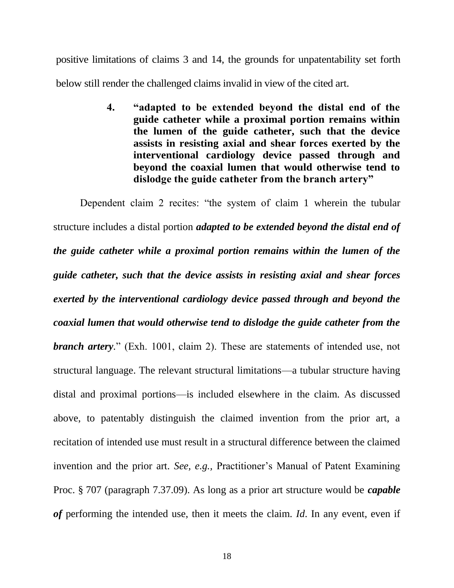<span id="page-22-0"></span>positive limitations of claims 3 and 14, the grounds for unpatentability set forth below still render the challenged claims invalid in view of the cited art.

> **4. "adapted to be extended beyond the distal end of the guide catheter while a proximal portion remains within the lumen of the guide catheter, such that the device assists in resisting axial and shear forces exerted by the interventional cardiology device passed through and beyond the coaxial lumen that would otherwise tend to dislodge the guide catheter from the branch artery"**

Dependent claim 2 recites: "the system of claim 1 wherein the tubular structure includes a distal portion *adapted to be extended beyond the distal end of the guide catheter while a proximal portion remains within the lumen of the guide catheter, such that the device assists in resisting axial and shear forces exerted by the interventional cardiology device passed through and beyond the coaxial lumen that would otherwise tend to dislodge the guide catheter from the branch artery.*" (Exh. 1001, claim 2). These are statements of intended use, not structural language. The relevant structural limitations—a tubular structure having distal and proximal portions—is included elsewhere in the claim. As discussed above, to patentably distinguish the claimed invention from the prior art, a recitation of intended use must result in a structural difference between the claimed invention and the prior art. *See, e.g.,* Practitioner's Manual of Patent Examining Proc. § 707 (paragraph 7.37.09). As long as a prior art structure would be *capable of* performing the intended use, then it meets the claim. *Id*. In any event, even if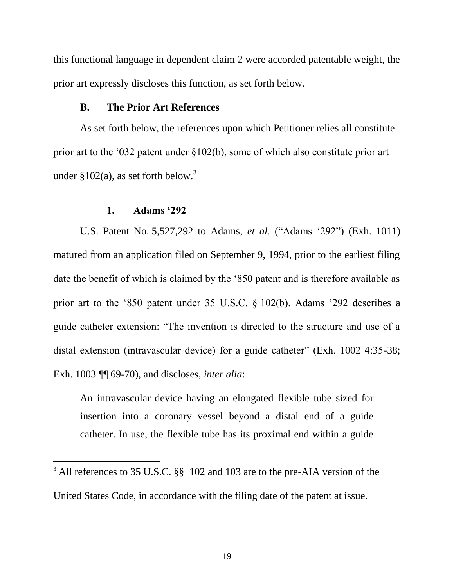this functional language in dependent claim 2 were accorded patentable weight, the prior art expressly discloses this function, as set forth below.

### **B. The Prior Art References**

<span id="page-23-0"></span>As set forth below, the references upon which Petitioner relies all constitute prior art to the '032 patent under §102(b), some of which also constitute prior art under  $$102(a)$ , as set forth below.<sup>3</sup>

#### **1. Adams '292**

 $\overline{a}$ 

<span id="page-23-1"></span>U.S. Patent No. 5,527,292 to Adams, *et al*. ("Adams '292") (Exh. 1011) matured from an application filed on September 9, 1994, prior to the earliest filing date the benefit of which is claimed by the '850 patent and is therefore available as prior art to the '850 patent under 35 U.S.C. § 102(b). Adams '292 describes a guide catheter extension: "The invention is directed to the structure and use of a distal extension (intravascular device) for a guide catheter" (Exh. 1002 4:35-38; Exh. 1003 ¶¶ 69-70), and discloses, *inter alia*:

An intravascular device having an elongated flexible tube sized for insertion into a coronary vessel beyond a distal end of a guide catheter. In use, the flexible tube has its proximal end within a guide

<sup>&</sup>lt;sup>3</sup> All references to 35 U.S.C. §§ 102 and 103 are to the pre-AIA version of the

United States Code, in accordance with the filing date of the patent at issue.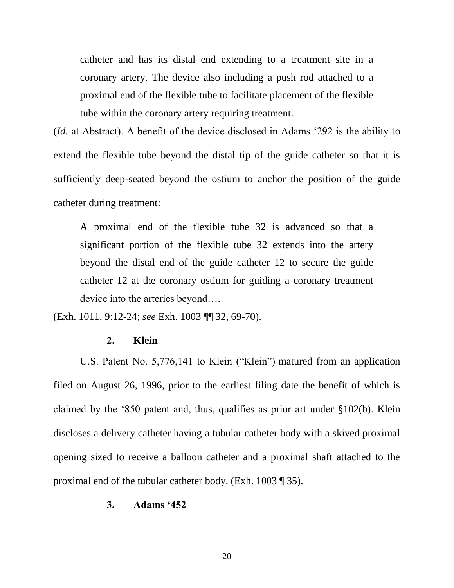catheter and has its distal end extending to a treatment site in a coronary artery. The device also including a push rod attached to a proximal end of the flexible tube to facilitate placement of the flexible tube within the coronary artery requiring treatment.

(*Id.* at Abstract). A benefit of the device disclosed in Adams '292 is the ability to extend the flexible tube beyond the distal tip of the guide catheter so that it is sufficiently deep-seated beyond the ostium to anchor the position of the guide catheter during treatment:

A proximal end of the flexible tube 32 is advanced so that a significant portion of the flexible tube 32 extends into the artery beyond the distal end of the guide catheter 12 to secure the guide catheter 12 at the coronary ostium for guiding a coronary treatment device into the arteries beyond….

<span id="page-24-0"></span>(Exh. 1011*,* 9:12-24; *see* Exh. 1003 ¶¶ 32, 69-70).

#### **2. Klein**

U.S. Patent No. 5,776,141 to Klein ("Klein") matured from an application filed on August 26, 1996, prior to the earliest filing date the benefit of which is claimed by the '850 patent and, thus, qualifies as prior art under §102(b). Klein discloses a delivery catheter having a tubular catheter body with a skived proximal opening sized to receive a balloon catheter and a proximal shaft attached to the proximal end of the tubular catheter body. (Exh. 1003 ¶ 35).

#### <span id="page-24-1"></span>**3. Adams '452**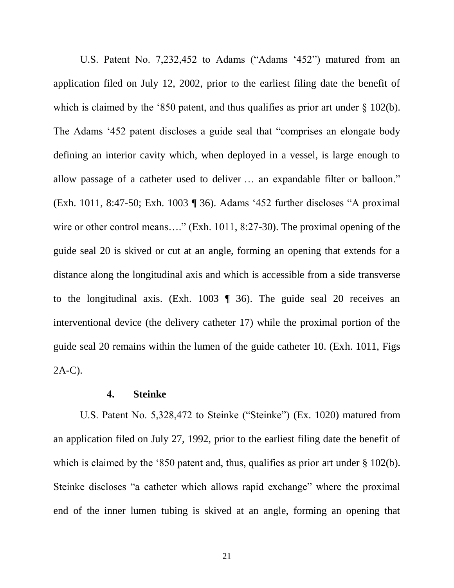U.S. Patent No. 7,232,452 to Adams ("Adams '452") matured from an application filed on July 12, 2002, prior to the earliest filing date the benefit of which is claimed by the '850 patent, and thus qualifies as prior art under § 102(b). The Adams '452 patent discloses a guide seal that "comprises an elongate body defining an interior cavity which, when deployed in a vessel, is large enough to allow passage of a catheter used to deliver … an expandable filter or balloon." (Exh. 1011, 8:47-50; Exh. 1003 ¶ 36). Adams '452 further discloses "A proximal wire or other control means...." (Exh. 1011, 8:27-30). The proximal opening of the guide seal 20 is skived or cut at an angle, forming an opening that extends for a distance along the longitudinal axis and which is accessible from a side transverse to the longitudinal axis. (Exh. 1003 ¶ 36). The guide seal 20 receives an interventional device (the delivery catheter 17) while the proximal portion of the guide seal 20 remains within the lumen of the guide catheter 10. (Exh. 1011, Figs 2A-C).

### **4. Steinke**

<span id="page-25-0"></span>U.S. Patent No. 5,328,472 to Steinke ("Steinke") (Ex. 1020) matured from an application filed on July 27, 1992, prior to the earliest filing date the benefit of which is claimed by the '850 patent and, thus, qualifies as prior art under § 102(b). Steinke discloses "a catheter which allows rapid exchange" where the proximal end of the inner lumen tubing is skived at an angle, forming an opening that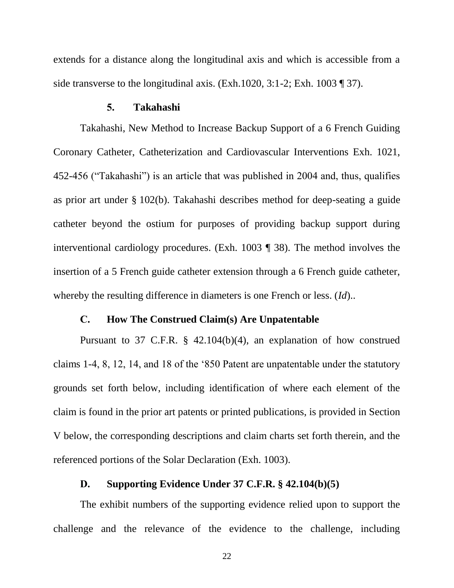extends for a distance along the longitudinal axis and which is accessible from a side transverse to the longitudinal axis. (Exh.1020, 3:1-2; Exh. 1003 ¶ 37).

#### **5. Takahashi**

<span id="page-26-0"></span>Takahashi, New Method to Increase Backup Support of a 6 French Guiding Coronary Catheter, Catheterization and Cardiovascular Interventions Exh. 1021, 452-456 ("Takahashi") is an article that was published in 2004 and, thus, qualifies as prior art under § 102(b). Takahashi describes method for deep-seating a guide catheter beyond the ostium for purposes of providing backup support during interventional cardiology procedures. (Exh. 1003 ¶ 38). The method involves the insertion of a 5 French guide catheter extension through a 6 French guide catheter, whereby the resulting difference in diameters is one French or less. (*Id*)..

#### **C. How The Construed Claim(s) Are Unpatentable**

<span id="page-26-1"></span>Pursuant to 37 C.F.R. § 42.104(b)(4), an explanation of how construed claims 1-4, 8, 12, 14, and 18 of the '850 Patent are unpatentable under the statutory grounds set forth below, including identification of where each element of the claim is found in the prior art patents or printed publications, is provided in Section V below, the corresponding descriptions and claim charts set forth therein, and the referenced portions of the Solar Declaration (Exh. 1003).

### **D. Supporting Evidence Under 37 C.F.R. § 42.104(b)(5)**

<span id="page-26-2"></span>The exhibit numbers of the supporting evidence relied upon to support the challenge and the relevance of the evidence to the challenge, including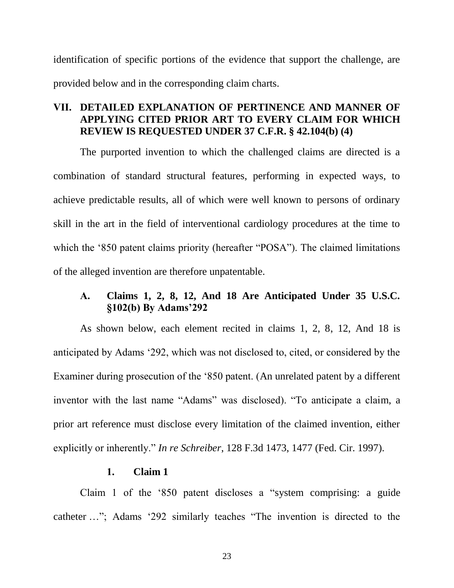identification of specific portions of the evidence that support the challenge, are provided below and in the corresponding claim charts.

# <span id="page-27-0"></span>**VII. DETAILED EXPLANATION OF PERTINENCE AND MANNER OF APPLYING CITED PRIOR ART TO EVERY CLAIM FOR WHICH REVIEW IS REQUESTED UNDER 37 C.F.R. § 42.104(b) (4)**

The purported invention to which the challenged claims are directed is a combination of standard structural features, performing in expected ways, to achieve predictable results, all of which were well known to persons of ordinary skill in the art in the field of interventional cardiology procedures at the time to which the '850 patent claims priority (hereafter "POSA"). The claimed limitations of the alleged invention are therefore unpatentable.

# <span id="page-27-1"></span>**A. Claims 1, 2, 8, 12, And 18 Are Anticipated Under 35 U.S.C. §102(b) By Adams'292**

As shown below, each element recited in claims 1, 2, 8, 12, And 18 is anticipated by Adams '292, which was not disclosed to, cited, or considered by the Examiner during prosecution of the '850 patent. (An unrelated patent by a different inventor with the last name "Adams" was disclosed). "To anticipate a claim, a prior art reference must disclose every limitation of the claimed invention, either explicitly or inherently." *In re Schreiber*, 128 F.3d 1473, 1477 (Fed. Cir. 1997).

### **1. Claim 1**

<span id="page-27-2"></span>Claim 1 of the '850 patent discloses a "system comprising: a guide catheter …"; Adams '292 similarly teaches "The invention is directed to the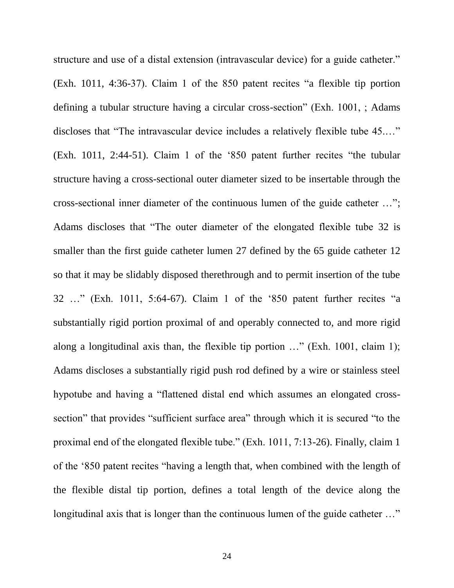structure and use of a distal extension (intravascular device) for a guide catheter." (Exh. 1011, 4:36-37). Claim 1 of the 850 patent recites "a flexible tip portion defining a tubular structure having a circular cross-section" (Exh. 1001, ; Adams discloses that "The intravascular device includes a relatively flexible tube 45.…" (Exh. 1011, 2:44-51). Claim 1 of the '850 patent further recites "the tubular structure having a cross-sectional outer diameter sized to be insertable through the cross-sectional inner diameter of the continuous lumen of the guide catheter …"; Adams discloses that "The outer diameter of the elongated flexible tube 32 is smaller than the first guide catheter lumen 27 defined by the 65 guide catheter 12 so that it may be slidably disposed therethrough and to permit insertion of the tube 32 …" (Exh. 1011, 5:64-67). Claim 1 of the '850 patent further recites "a substantially rigid portion proximal of and operably connected to, and more rigid along a longitudinal axis than, the flexible tip portion …" (Exh. 1001, claim 1); Adams discloses a substantially rigid push rod defined by a wire or stainless steel hypotube and having a "flattened distal end which assumes an elongated crosssection" that provides "sufficient surface area" through which it is secured "to the proximal end of the elongated flexible tube." (Exh. 1011, 7:13-26). Finally, claim 1 of the '850 patent recites "having a length that, when combined with the length of the flexible distal tip portion, defines a total length of the device along the longitudinal axis that is longer than the continuous lumen of the guide catheter ..."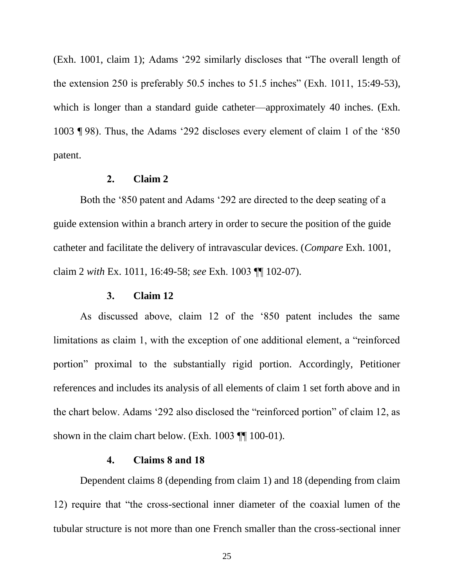(Exh. 1001, claim 1); Adams '292 similarly discloses that "The overall length of the extension 250 is preferably 50.5 inches to 51.5 inches" (Exh. 1011, 15:49-53), which is longer than a standard guide catheter—approximately 40 inches. (Exh. 1003 ¶ 98). Thus, the Adams '292 discloses every element of claim 1 of the '850 patent.

#### **2. Claim 2**

<span id="page-29-0"></span>Both the '850 patent and Adams '292 are directed to the deep seating of a guide extension within a branch artery in order to secure the position of the guide catheter and facilitate the delivery of intravascular devices. (*Compare* Exh. 1001, claim 2 *with* Ex. 1011, 16:49-58; *see* Exh. 1003 ¶ ¶ 102-07).

#### **3. Claim 12**

<span id="page-29-1"></span>As discussed above, claim 12 of the '850 patent includes the same limitations as claim 1, with the exception of one additional element, a "reinforced portion" proximal to the substantially rigid portion. Accordingly, Petitioner references and includes its analysis of all elements of claim 1 set forth above and in the chart below. Adams '292 also disclosed the "reinforced portion" of claim 12, as shown in the claim chart below. (Exh.  $1003$   $\P$   $100-01$ ).

#### **4. Claims 8 and 18**

<span id="page-29-2"></span>Dependent claims 8 (depending from claim 1) and 18 (depending from claim 12) require that "the cross-sectional inner diameter of the coaxial lumen of the tubular structure is not more than one French smaller than the cross-sectional inner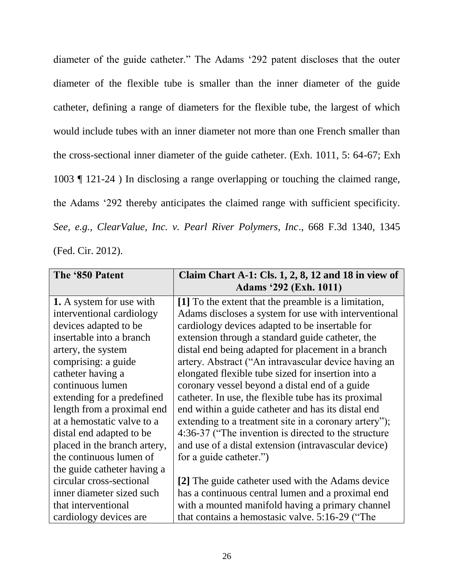diameter of the guide catheter." The Adams '292 patent discloses that the outer diameter of the flexible tube is smaller than the inner diameter of the guide catheter, defining a range of diameters for the flexible tube, the largest of which would include tubes with an inner diameter not more than one French smaller than the cross-sectional inner diameter of the guide catheter. (Exh. 1011, 5: 64-67; Exh 1003 ¶ 121-24 ) In disclosing a range overlapping or touching the claimed range, the Adams '292 thereby anticipates the claimed range with sufficient specificity. *See, e.g., ClearValue, Inc. v. Pearl River Polymers, Inc*., 668 F.3d 1340, 1345 (Fed. Cir. 2012).

| The '850 Patent                 | Claim Chart A-1: Cls. 1, 2, 8, 12 and 18 in view of   |  |  |
|---------------------------------|-------------------------------------------------------|--|--|
|                                 | <b>Adams</b> '292 (Exh. 1011)                         |  |  |
| <b>1.</b> A system for use with | [1] To the extent that the preamble is a limitation,  |  |  |
| interventional cardiology       | Adams discloses a system for use with interventional  |  |  |
| devices adapted to be           | cardiology devices adapted to be insertable for       |  |  |
| insertable into a branch        | extension through a standard guide catheter, the      |  |  |
| artery, the system              | distal end being adapted for placement in a branch    |  |  |
| comprising: a guide             | artery. Abstract ("An intravascular device having an  |  |  |
| catheter having a               | elongated flexible tube sized for insertion into a    |  |  |
| continuous lumen                | coronary vessel beyond a distal end of a guide        |  |  |
| extending for a predefined      | catheter. In use, the flexible tube has its proximal  |  |  |
| length from a proximal end      | end within a guide catheter and has its distal end    |  |  |
| at a hemostatic valve to a      | extending to a treatment site in a coronary artery"); |  |  |
| distal end adapted to be        | 4:36-37 ("The invention is directed to the structure  |  |  |
| placed in the branch artery,    | and use of a distal extension (intravascular device)  |  |  |
| the continuous lumen of         | for a guide catheter.")                               |  |  |
| the guide catheter having a     |                                                       |  |  |
| circular cross-sectional        | [2] The guide catheter used with the Adams device     |  |  |
| inner diameter sized such       | has a continuous central lumen and a proximal end     |  |  |
| that interventional             | with a mounted manifold having a primary channel      |  |  |
| cardiology devices are          | that contains a hemostasic valve. 5:16-29 ("The       |  |  |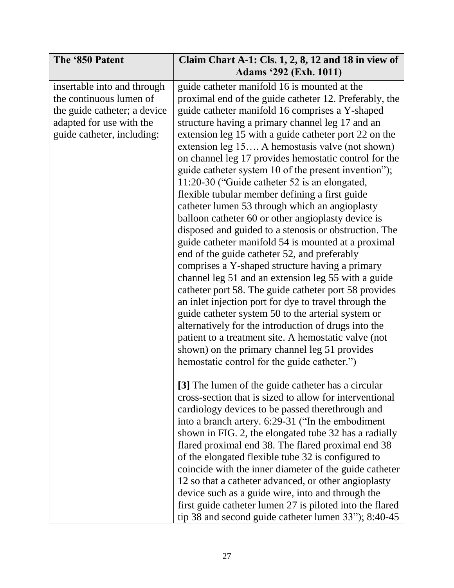| The '850 Patent                                                                                                                                  | Claim Chart A-1: Cls. $1, 2, 8, 12$ and 18 in view of<br><b>Adams</b> '292 (Exh. 1011)                                                                                                                                                                                                                                                                                                                                                                                                                                                                                                                                                                                                                                                                                                                                                                                                                                                                                                                                                                                                                                                                                                                                                                                                                                   |
|--------------------------------------------------------------------------------------------------------------------------------------------------|--------------------------------------------------------------------------------------------------------------------------------------------------------------------------------------------------------------------------------------------------------------------------------------------------------------------------------------------------------------------------------------------------------------------------------------------------------------------------------------------------------------------------------------------------------------------------------------------------------------------------------------------------------------------------------------------------------------------------------------------------------------------------------------------------------------------------------------------------------------------------------------------------------------------------------------------------------------------------------------------------------------------------------------------------------------------------------------------------------------------------------------------------------------------------------------------------------------------------------------------------------------------------------------------------------------------------|
| insertable into and through<br>the continuous lumen of<br>the guide catheter; a device<br>adapted for use with the<br>guide catheter, including: | guide catheter manifold 16 is mounted at the<br>proximal end of the guide catheter 12. Preferably, the<br>guide catheter manifold 16 comprises a Y-shaped<br>structure having a primary channel leg 17 and an<br>extension leg 15 with a guide catheter port 22 on the<br>extension leg 15 A hemostasis valve (not shown)<br>on channel leg 17 provides hemostatic control for the<br>guide catheter system 10 of the present invention");<br>11:20-30 ("Guide catheter 52 is an elongated,<br>flexible tubular member defining a first guide<br>catheter lumen 53 through which an angioplasty<br>balloon catheter 60 or other angioplasty device is<br>disposed and guided to a stenosis or obstruction. The<br>guide catheter manifold 54 is mounted at a proximal<br>end of the guide catheter 52, and preferably<br>comprises a Y-shaped structure having a primary<br>channel leg 51 and an extension leg 55 with a guide<br>catheter port 58. The guide catheter port 58 provides<br>an inlet injection port for dye to travel through the<br>guide catheter system 50 to the arterial system or<br>alternatively for the introduction of drugs into the<br>patient to a treatment site. A hemostatic valve (not<br>shown) on the primary channel leg 51 provides<br>hemostatic control for the guide catheter.") |
|                                                                                                                                                  | [3] The lumen of the guide catheter has a circular<br>cross-section that is sized to allow for interventional<br>cardiology devices to be passed therethrough and<br>into a branch artery. 6:29-31 ("In the embodiment<br>shown in FIG. 2, the elongated tube 32 has a radially<br>flared proximal end 38. The flared proximal end 38<br>of the elongated flexible tube 32 is configured to<br>coincide with the inner diameter of the guide catheter<br>12 so that a catheter advanced, or other angioplasty<br>device such as a guide wire, into and through the<br>first guide catheter lumen 27 is piloted into the flared<br>tip 38 and second guide catheter lumen 33"); 8:40-45                                                                                                                                                                                                                                                                                                                                                                                                                                                                                                                                                                                                                                   |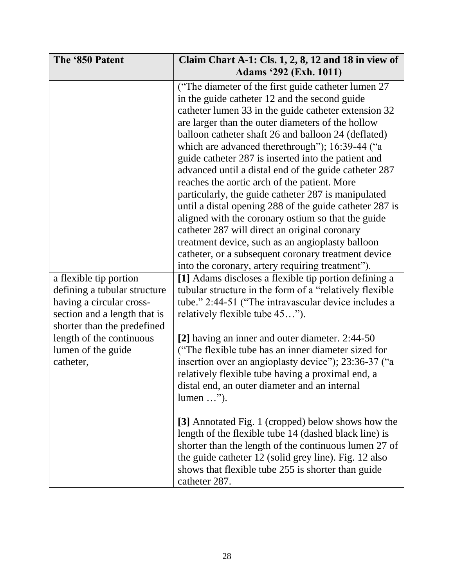| The '850 Patent                                                                                                                                                                                                  | Claim Chart A-1: Cls. $1, 2, 8, 12$ and 18 in view of<br><b>Adams '292 (Exh. 1011)</b>                                                                                                                                                                                                                                                                                                                                                                                                                                                                                                                                                                                                                                                                                                                                           |
|------------------------------------------------------------------------------------------------------------------------------------------------------------------------------------------------------------------|----------------------------------------------------------------------------------------------------------------------------------------------------------------------------------------------------------------------------------------------------------------------------------------------------------------------------------------------------------------------------------------------------------------------------------------------------------------------------------------------------------------------------------------------------------------------------------------------------------------------------------------------------------------------------------------------------------------------------------------------------------------------------------------------------------------------------------|
|                                                                                                                                                                                                                  | ("The diameter of the first guide catheter lumen 27)<br>in the guide catheter 12 and the second guide<br>catheter lumen 33 in the guide catheter extension 32<br>are larger than the outer diameters of the hollow<br>balloon catheter shaft 26 and balloon 24 (deflated)<br>which are advanced therethrough"); 16:39-44 ("a<br>guide catheter 287 is inserted into the patient and<br>advanced until a distal end of the guide catheter 287<br>reaches the aortic arch of the patient. More<br>particularly, the guide catheter 287 is manipulated<br>until a distal opening 288 of the guide catheter 287 is<br>aligned with the coronary ostium so that the guide<br>catheter 287 will direct an original coronary<br>treatment device, such as an angioplasty balloon<br>catheter, or a subsequent coronary treatment device |
| a flexible tip portion<br>defining a tubular structure<br>having a circular cross-<br>section and a length that is<br>shorter than the predefined<br>length of the continuous<br>lumen of the guide<br>catheter, | into the coronary, artery requiring treatment").<br>[1] Adams discloses a flexible tip portion defining a<br>tubular structure in the form of a "relatively flexible<br>tube." 2:44-51 ("The intravascular device includes a<br>relatively flexible tube 45").<br>[2] having an inner and outer diameter. 2:44-50<br>("The flexible tube has an inner diameter sized for<br>insertion over an angioplasty device"); 23:36-37 ("a<br>relatively flexible tube having a proximal end, a<br>distal end, an outer diameter and an internal<br>$lumen \dots$ ").                                                                                                                                                                                                                                                                      |
|                                                                                                                                                                                                                  | [3] Annotated Fig. 1 (cropped) below shows how the<br>length of the flexible tube 14 (dashed black line) is<br>shorter than the length of the continuous lumen 27 of<br>the guide catheter 12 (solid grey line). Fig. 12 also<br>shows that flexible tube 255 is shorter than guide<br>catheter 287.                                                                                                                                                                                                                                                                                                                                                                                                                                                                                                                             |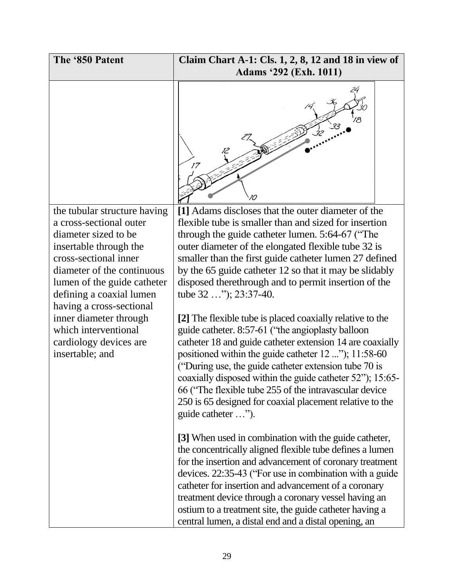| The '850 Patent                                                                                                                    | Claim Chart A-1: Cls. $1, 2, 8, 12$ and 18 in view of                                                                                                                                                                                                                                                                                                                                                                                                                                                  |
|------------------------------------------------------------------------------------------------------------------------------------|--------------------------------------------------------------------------------------------------------------------------------------------------------------------------------------------------------------------------------------------------------------------------------------------------------------------------------------------------------------------------------------------------------------------------------------------------------------------------------------------------------|
|                                                                                                                                    | <b>Adams '292 (Exh. 1011)</b>                                                                                                                                                                                                                                                                                                                                                                                                                                                                          |
|                                                                                                                                    |                                                                                                                                                                                                                                                                                                                                                                                                                                                                                                        |
| the tubular structure having<br>a cross-sectional outer<br>diameter sized to be<br>insertable through the<br>cross-sectional inner | [1] Adams discloses that the outer diameter of the<br>flexible tube is smaller than and sized for insertion<br>through the guide catheter lumen. 5:64-67 ("The<br>outer diameter of the elongated flexible tube 32 is<br>smaller than the first guide catheter lumen 27 defined                                                                                                                                                                                                                        |
| diameter of the continuous<br>lumen of the guide catheter<br>defining a coaxial lumen<br>having a cross-sectional                  | by the 65 guide catheter 12 so that it may be slidably<br>disposed therethrough and to permit insertion of the<br>tube 32 "); 23:37-40.                                                                                                                                                                                                                                                                                                                                                                |
| inner diameter through<br>which interventional<br>cardiology devices are<br>insertable; and                                        | [2] The flexible tube is placed coaxially relative to the<br>guide catheter. 8:57-61 ("the angioplasty balloon<br>catheter 18 and guide catheter extension 14 are coaxially<br>positioned within the guide catheter 12 "); 11:58-60<br>("During use, the guide catheter extension tube 70 is<br>coaxially disposed within the guide catheter 52"); 15:65-<br>66 ("The flexible tube 255 of the intravascular device"<br>250 is 65 designed for coaxial placement relative to the<br>guide catheter "). |
|                                                                                                                                    | [3] When used in combination with the guide catheter,<br>the concentrically aligned flexible tube defines a lumen<br>for the insertion and advancement of coronary treatment<br>devices. 22:35-43 ("For use in combination with a guide"<br>catheter for insertion and advancement of a coronary<br>treatment device through a coronary vessel having an<br>ostium to a treatment site, the guide catheter having a<br>central lumen, a distal end and a distal opening, an                            |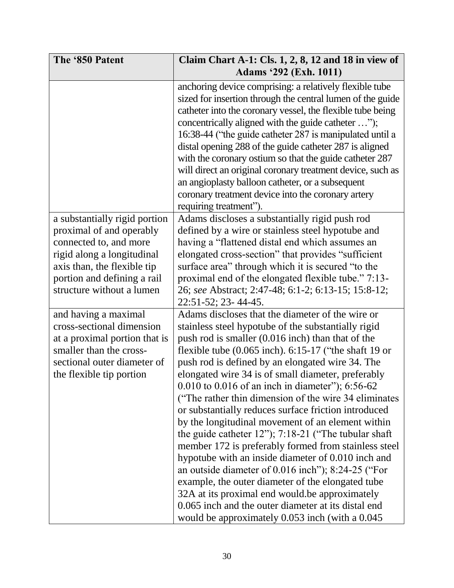| The '850 Patent                                                                                                                                                                                              | Claim Chart A-1: Cls. $1, 2, 8, 12$ and 18 in view of<br><b>Adams '292 (Exh. 1011)</b>                                                                                                                                                                                                                                                                                                                                                                                                                                                                                                                                                                                                                                                                                                                                                                                                                                                                                                                                    |
|--------------------------------------------------------------------------------------------------------------------------------------------------------------------------------------------------------------|---------------------------------------------------------------------------------------------------------------------------------------------------------------------------------------------------------------------------------------------------------------------------------------------------------------------------------------------------------------------------------------------------------------------------------------------------------------------------------------------------------------------------------------------------------------------------------------------------------------------------------------------------------------------------------------------------------------------------------------------------------------------------------------------------------------------------------------------------------------------------------------------------------------------------------------------------------------------------------------------------------------------------|
|                                                                                                                                                                                                              | anchoring device comprising: a relatively flexible tube<br>sized for insertion through the central lumen of the guide<br>catheter into the coronary vessel, the flexible tube being<br>concentrically aligned with the guide catheter ");<br>16:38-44 ("the guide catheter 287 is manipulated until a<br>distal opening 288 of the guide catheter 287 is aligned<br>with the coronary ostium so that the guide catheter 287<br>will direct an original coronary treatment device, such as<br>an angioplasty balloon catheter, or a subsequent<br>coronary treatment device into the coronary artery<br>requiring treatment").                                                                                                                                                                                                                                                                                                                                                                                             |
| a substantially rigid portion<br>proximal of and operably<br>connected to, and more<br>rigid along a longitudinal<br>axis than, the flexible tip<br>portion and defining a rail<br>structure without a lumen | Adams discloses a substantially rigid push rod<br>defined by a wire or stainless steel hypotube and<br>having a "flattened distal end which assumes an<br>elongated cross-section" that provides "sufficient"<br>surface area" through which it is secured "to the<br>proximal end of the elongated flexible tube." 7:13-<br>26; see Abstract; 2:47-48; 6:1-2; 6:13-15; 15:8-12;<br>22:51-52; 23-44-45.                                                                                                                                                                                                                                                                                                                                                                                                                                                                                                                                                                                                                   |
| and having a maximal<br>cross-sectional dimension<br>at a proximal portion that is<br>smaller than the cross-<br>sectional outer diameter of<br>the flexible tip portion                                     | Adams discloses that the diameter of the wire or<br>stainless steel hypotube of the substantially rigid<br>push rod is smaller (0.016 inch) than that of the<br>flexible tube $(0.065$ inch). $6:15-17$ ("the shaft 19 or<br>push rod is defined by an elongated wire 34. The<br>elongated wire 34 is of small diameter, preferably<br>$0.010$ to $0.016$ of an inch in diameter"); $6:56-62$<br>("The rather thin dimension of the wire 34 eliminates")<br>or substantially reduces surface friction introduced<br>by the longitudinal movement of an element within<br>the guide catheter $12$ "); $7:18-21$ ("The tubular shaft<br>member 172 is preferably formed from stainless steel<br>hypotube with an inside diameter of 0.010 inch and<br>an outside diameter of $0.016$ inch"); 8:24-25 ("For<br>example, the outer diameter of the elongated tube<br>32A at its proximal end would be approximately<br>0.065 inch and the outer diameter at its distal end<br>would be approximately 0.053 inch (with a 0.045 |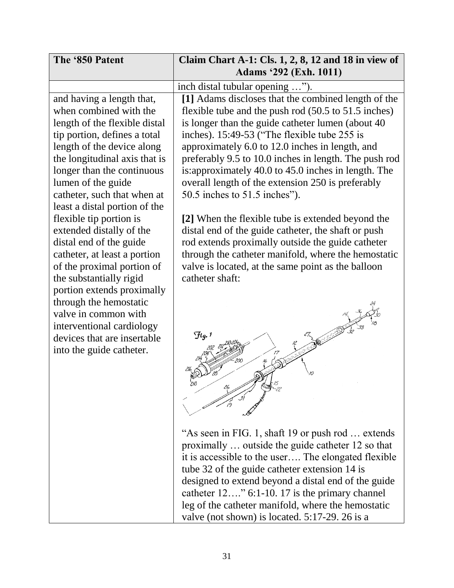| The '850 Patent                                                                                                                                                                                                                                                                                                                    | Claim Chart A-1: Cls. $1, 2, 8, 12$ and 18 in view of<br><b>Adams '292 (Exh. 1011)</b>                                                                                                                                                                                                                                                                                                                                                                                                                                           |
|------------------------------------------------------------------------------------------------------------------------------------------------------------------------------------------------------------------------------------------------------------------------------------------------------------------------------------|----------------------------------------------------------------------------------------------------------------------------------------------------------------------------------------------------------------------------------------------------------------------------------------------------------------------------------------------------------------------------------------------------------------------------------------------------------------------------------------------------------------------------------|
|                                                                                                                                                                                                                                                                                                                                    | inch distal tubular opening ").                                                                                                                                                                                                                                                                                                                                                                                                                                                                                                  |
| and having a length that,<br>when combined with the<br>length of the flexible distal<br>tip portion, defines a total<br>length of the device along<br>the longitudinal axis that is<br>longer than the continuous<br>lumen of the guide<br>catheter, such that when at<br>least a distal portion of the<br>flexible tip portion is | [1] Adams discloses that the combined length of the<br>flexible tube and the push rod (50.5 to 51.5 inches)<br>is longer than the guide catheter lumen (about 40)<br>inches). 15:49-53 ("The flexible tube 255 is<br>approximately 6.0 to 12.0 inches in length, and<br>preferably 9.5 to 10.0 inches in length. The push rod<br>is: approximately 40.0 to 45.0 inches in length. The<br>overall length of the extension 250 is preferably<br>50.5 inches to 51.5 inches").<br>[2] When the flexible tube is extended beyond the |
| extended distally of the<br>distal end of the guide<br>catheter, at least a portion<br>of the proximal portion of<br>the substantially rigid<br>portion extends proximally<br>through the hemostatic<br>valve in common with<br>interventional cardiology<br>devices that are insertable<br>into the guide catheter.               | distal end of the guide catheter, the shaft or push<br>rod extends proximally outside the guide catheter<br>through the catheter manifold, where the hemostatic<br>valve is located, at the same point as the balloon<br>catheter shaft:<br>$\mathcal{F}_{q}$ .                                                                                                                                                                                                                                                                  |
|                                                                                                                                                                                                                                                                                                                                    | "As seen in FIG. 1, shaft 19 or push rod  extends<br>proximally  outside the guide catheter 12 so that<br>it is accessible to the user The elongated flexible<br>tube 32 of the guide catheter extension 14 is<br>designed to extend beyond a distal end of the guide<br>catheter 12" 6:1-10. 17 is the primary channel<br>leg of the catheter manifold, where the hemostatic<br>valve (not shown) is located. 5:17-29. 26 is a                                                                                                  |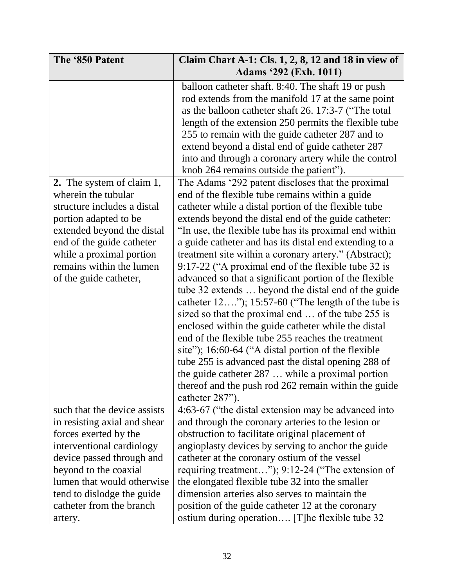| The '850 Patent                  | Claim Chart A-1: Cls. $1, 2, 8, 12$ and 18 in view of    |
|----------------------------------|----------------------------------------------------------|
|                                  | Adams '292 (Exh. 1011)                                   |
|                                  | balloon catheter shaft. 8:40. The shaft 19 or push       |
|                                  | rod extends from the manifold 17 at the same point       |
|                                  | as the balloon catheter shaft 26. 17:3-7 ("The total"    |
|                                  | length of the extension 250 permits the flexible tube    |
|                                  | 255 to remain with the guide catheter 287 and to         |
|                                  | extend beyond a distal end of guide catheter 287         |
|                                  | into and through a coronary artery while the control     |
|                                  | knob 264 remains outside the patient").                  |
| <b>2.</b> The system of claim 1, | The Adams '292 patent discloses that the proximal        |
| wherein the tubular              | end of the flexible tube remains within a guide          |
| structure includes a distal      | catheter while a distal portion of the flexible tube     |
| portion adapted to be            | extends beyond the distal end of the guide catheter:     |
| extended beyond the distal       | "In use, the flexible tube has its proximal end within   |
| end of the guide catheter        | a guide catheter and has its distal end extending to a   |
| while a proximal portion         | treatment site within a coronary artery." (Abstract);    |
| remains within the lumen         | 9:17-22 ("A proximal end of the flexible tube 32 is      |
| of the guide catheter,           | advanced so that a significant portion of the flexible   |
|                                  | tube 32 extends  beyond the distal end of the guide      |
|                                  | catheter $12$ "); $15:57-60$ ("The length of the tube is |
|                                  | sized so that the proximal end  of the tube 255 is       |
|                                  | enclosed within the guide catheter while the distal      |
|                                  | end of the flexible tube 255 reaches the treatment       |
|                                  | site"); 16:60-64 ("A distal portion of the flexible      |
|                                  | tube 255 is advanced past the distal opening 288 of      |
|                                  | the guide catheter 287  while a proximal portion         |
|                                  | thereof and the push rod 262 remain within the guide     |
|                                  | catheter 287").                                          |
| such that the device assists     | 4:63-67 ("the distal extension may be advanced into      |
| in resisting axial and shear     | and through the coronary arteries to the lesion or       |
| forces exerted by the            | obstruction to facilitate original placement of          |
| interventional cardiology        | angioplasty devices by serving to anchor the guide       |
| device passed through and        | catheter at the coronary ostium of the vessel            |
| beyond to the coaxial            | requiring treatment"); 9:12-24 ("The extension of        |
| lumen that would otherwise       | the elongated flexible tube 32 into the smaller          |
| tend to dislodge the guide       | dimension arteries also serves to maintain the           |
| catheter from the branch         | position of the guide catheter 12 at the coronary        |
| artery.                          | ostium during operation [T] he flexible tube 32          |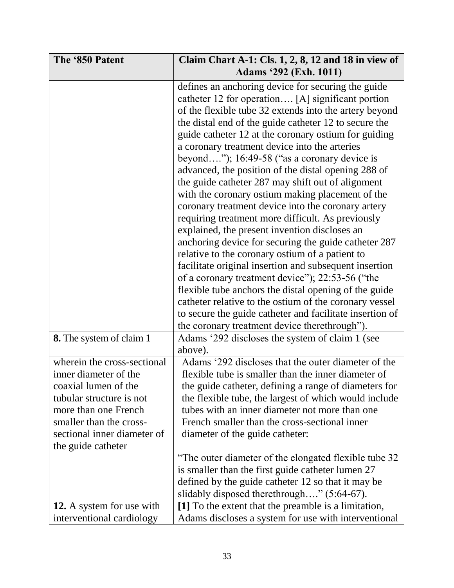| The '850 Patent                 | Claim Chart A-1: Cls. $1, 2, 8, 12$ and 18 in view of    |
|---------------------------------|----------------------------------------------------------|
|                                 | <b>Adams</b> '292 (Exh. 1011)                            |
|                                 | defines an anchoring device for securing the guide       |
|                                 | catheter 12 for operation [A] significant portion        |
|                                 | of the flexible tube 32 extends into the artery beyond   |
|                                 | the distal end of the guide catheter 12 to secure the    |
|                                 | guide catheter 12 at the coronary ostium for guiding     |
|                                 | a coronary treatment device into the arteries            |
|                                 | beyond"); $16:49-58$ ("as a coronary device is           |
|                                 | advanced, the position of the distal opening 288 of      |
|                                 | the guide catheter 287 may shift out of alignment        |
|                                 | with the coronary ostium making placement of the         |
|                                 | coronary treatment device into the coronary artery       |
|                                 | requiring treatment more difficult. As previously        |
|                                 | explained, the present invention discloses an            |
|                                 | anchoring device for securing the guide catheter 287     |
|                                 | relative to the coronary ostium of a patient to          |
|                                 | facilitate original insertion and subsequent insertion   |
|                                 | of a coronary treatment device"); 22:53-56 ("the         |
|                                 | flexible tube anchors the distal opening of the guide    |
|                                 | catheter relative to the ostium of the coronary vessel   |
|                                 | to secure the guide catheter and facilitate insertion of |
|                                 | the coronary treatment device therethrough").            |
| <b>8.</b> The system of claim 1 | Adams '292 discloses the system of claim 1 (see          |
|                                 | above).                                                  |
| wherein the cross-sectional     | Adams '292 discloses that the outer diameter of the      |
| inner diameter of the           | flexible tube is smaller than the inner diameter of      |
| coaxial lumen of the            | the guide catheter, defining a range of diameters for    |
| tubular structure is not        | the flexible tube, the largest of which would include    |
| more than one French            | tubes with an inner diameter not more than one           |
| smaller than the cross-         | French smaller than the cross-sectional inner            |
| sectional inner diameter of     | diameter of the guide catheter:                          |
| the guide catheter              |                                                          |
|                                 | "The outer diameter of the elongated flexible tube 32    |
|                                 | is smaller than the first guide catheter lumen 27        |
|                                 | defined by the guide catheter 12 so that it may be       |
|                                 | slidably disposed therethrough" (5:64-67).               |
| 12. A system for use with       | [1] To the extent that the preamble is a limitation,     |
| interventional cardiology       | Adams discloses a system for use with interventional     |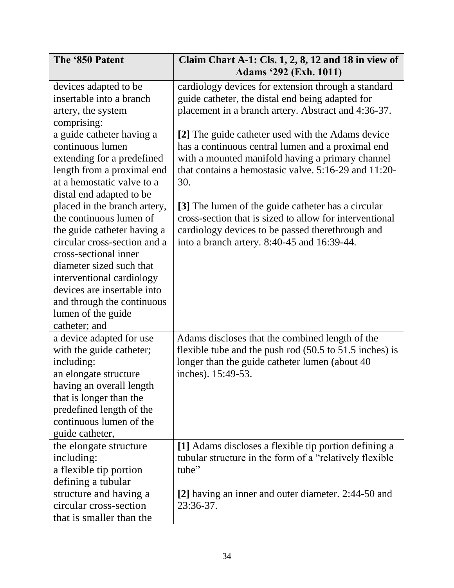| The '850 Patent              | Claim Chart A-1: Cls. $1, 2, 8, 12$ and 18 in view of                      |
|------------------------------|----------------------------------------------------------------------------|
|                              | <b>Adams '292 (Exh. 1011)</b>                                              |
| devices adapted to be        | cardiology devices for extension through a standard                        |
| insertable into a branch     | guide catheter, the distal end being adapted for                           |
| artery, the system           | placement in a branch artery. Abstract and 4:36-37.                        |
| comprising:                  |                                                                            |
| a guide catheter having a    | [2] The guide catheter used with the Adams device                          |
| continuous lumen             | has a continuous central lumen and a proximal end                          |
| extending for a predefined   | with a mounted manifold having a primary channel                           |
| length from a proximal end   | that contains a hemostasic valve. 5:16-29 and 11:20-                       |
| at a hemostatic valve to a   | 30.                                                                        |
| distal end adapted to be     |                                                                            |
| placed in the branch artery, | [3] The lumen of the guide catheter has a circular                         |
| the continuous lumen of      | cross-section that is sized to allow for interventional                    |
| the guide catheter having a  | cardiology devices to be passed therethrough and                           |
| circular cross-section and a | into a branch artery. 8:40-45 and 16:39-44.                                |
| cross-sectional inner        |                                                                            |
| diameter sized such that     |                                                                            |
| interventional cardiology    |                                                                            |
| devices are insertable into  |                                                                            |
| and through the continuous   |                                                                            |
| lumen of the guide           |                                                                            |
| catheter; and                |                                                                            |
| a device adapted for use     | Adams discloses that the combined length of the                            |
| with the guide catheter;     | flexible tube and the push rod $(50.5 \text{ to } 51.5 \text{ inches})$ is |
| including:                   | longer than the guide catheter lumen (about 40)                            |
| an elongate structure        | inches). 15:49-53.                                                         |
| having an overall length     |                                                                            |
| that is longer than the      |                                                                            |
| predefined length of the     |                                                                            |
| continuous lumen of the      |                                                                            |
| guide catheter,              |                                                                            |
| the elongate structure       | [1] Adams discloses a flexible tip portion defining a                      |
| including:                   | tubular structure in the form of a "relatively flexible"                   |
| a flexible tip portion       | tube"                                                                      |
| defining a tubular           |                                                                            |
| structure and having a       | [2] having an inner and outer diameter. 2:44-50 and                        |
| circular cross-section       | 23:36-37.                                                                  |
| that is smaller than the     |                                                                            |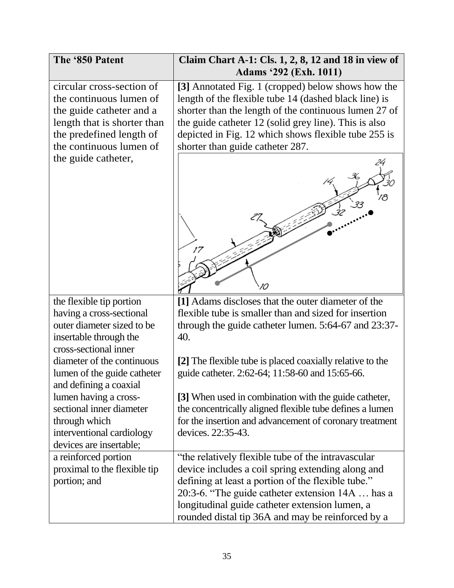| The '850 Patent                                                                                                                                                        | Claim Chart A-1: Cls. $1, 2, 8, 12$ and 18 in view of<br><b>Adams '292 (Exh. 1011)</b>                                                                                                                                                                                                                                    |
|------------------------------------------------------------------------------------------------------------------------------------------------------------------------|---------------------------------------------------------------------------------------------------------------------------------------------------------------------------------------------------------------------------------------------------------------------------------------------------------------------------|
| circular cross-section of<br>the continuous lumen of<br>the guide catheter and a<br>length that is shorter than<br>the predefined length of<br>the continuous lumen of | [3] Annotated Fig. 1 (cropped) below shows how the<br>length of the flexible tube 14 (dashed black line) is<br>shorter than the length of the continuous lumen 27 of<br>the guide catheter 12 (solid grey line). This is also<br>depicted in Fig. 12 which shows flexible tube 255 is<br>shorter than guide catheter 287. |
| the guide catheter,                                                                                                                                                    | 17                                                                                                                                                                                                                                                                                                                        |
| the flexible tip portion                                                                                                                                               | [1] Adams discloses that the outer diameter of the                                                                                                                                                                                                                                                                        |
| having a cross-sectional<br>outer diameter sized to be                                                                                                                 | flexible tube is smaller than and sized for insertion<br>through the guide catheter lumen. 5:64-67 and 23:37-                                                                                                                                                                                                             |
| insertable through the                                                                                                                                                 | 40.                                                                                                                                                                                                                                                                                                                       |
| cross-sectional inner                                                                                                                                                  |                                                                                                                                                                                                                                                                                                                           |
| diameter of the continuous<br>lumen of the guide catheter<br>and defining a coaxial                                                                                    | [2] The flexible tube is placed coaxially relative to the<br>guide catheter. 2:62-64; 11:58-60 and 15:65-66.                                                                                                                                                                                                              |
| lumen having a cross-<br>sectional inner diameter<br>through which<br>interventional cardiology<br>devices are insertable;                                             | [3] When used in combination with the guide catheter,<br>the concentrically aligned flexible tube defines a lumen<br>for the insertion and advancement of coronary treatment<br>devices. 22:35-43.                                                                                                                        |
| a reinforced portion                                                                                                                                                   | "the relatively flexible tube of the intravascular                                                                                                                                                                                                                                                                        |
| proximal to the flexible tip<br>portion; and                                                                                                                           | device includes a coil spring extending along and<br>defining at least a portion of the flexible tube."                                                                                                                                                                                                                   |
|                                                                                                                                                                        | 20:3-6. "The guide catheter extension 14A  has a                                                                                                                                                                                                                                                                          |
|                                                                                                                                                                        | longitudinal guide catheter extension lumen, a                                                                                                                                                                                                                                                                            |
|                                                                                                                                                                        | rounded distal tip 36A and may be reinforced by a                                                                                                                                                                                                                                                                         |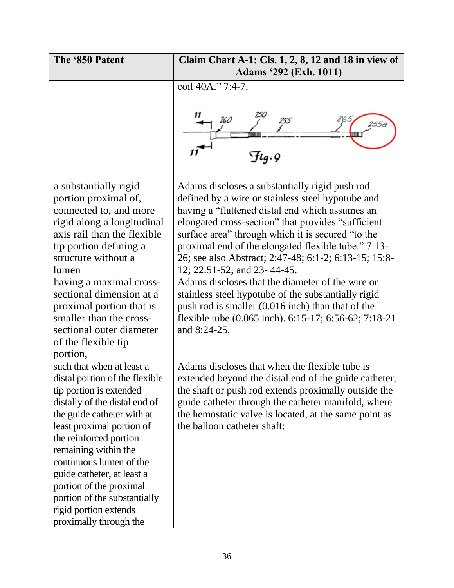| The '850 Patent                                     | Claim Chart A-1: Cls. $1, 2, 8, 12$ and 18 in view of                                                    |
|-----------------------------------------------------|----------------------------------------------------------------------------------------------------------|
|                                                     | <b>Adams '292 (Exh. 1011)</b>                                                                            |
|                                                     | coil 40A." 7:4-7.                                                                                        |
|                                                     | $H_9.9$                                                                                                  |
| a substantially rigid                               | Adams discloses a substantially rigid push rod                                                           |
| portion proximal of,                                | defined by a wire or stainless steel hypotube and                                                        |
| connected to, and more                              | having a "flattened distal end which assumes an                                                          |
| rigid along a longitudinal                          | elongated cross-section" that provides "sufficient                                                       |
| axis rail than the flexible                         | surface area" through which it is secured "to the                                                        |
| tip portion defining a                              | proximal end of the elongated flexible tube." 7:13-                                                      |
| structure without a                                 | 26; see also Abstract; 2:47-48; 6:1-2; 6:13-15; 15:8-                                                    |
| lumen                                               | 12; 22:51-52; and 23-44-45.                                                                              |
| having a maximal cross-<br>sectional dimension at a | Adams discloses that the diameter of the wire or                                                         |
| proximal portion that is                            | stainless steel hypotube of the substantially rigid<br>push rod is smaller (0.016 inch) than that of the |
| smaller than the cross-                             | flexible tube (0.065 inch). 6:15-17; 6:56-62; 7:18-21                                                    |
| sectional outer diameter                            | and 8:24-25.                                                                                             |
| of the flexible tip                                 |                                                                                                          |
| portion,                                            |                                                                                                          |
| such that when at least a                           | Adams discloses that when the flexible tube is                                                           |
| distal portion of the flexible                      | extended beyond the distal end of the guide catheter,                                                    |
| tip portion is extended                             | the shaft or push rod extends proximally outside the                                                     |
| distally of the distal end of                       | guide catheter through the catheter manifold, where                                                      |
| the guide catheter with at                          | the hemostatic valve is located, at the same point as                                                    |
| least proximal portion of                           | the balloon catheter shaft:                                                                              |
| the reinforced portion                              |                                                                                                          |
| remaining within the                                |                                                                                                          |
| continuous lumen of the                             |                                                                                                          |
| guide catheter, at least a                          |                                                                                                          |
| portion of the proximal                             |                                                                                                          |
| portion of the substantially                        |                                                                                                          |
| rigid portion extends                               |                                                                                                          |
| proximally through the                              |                                                                                                          |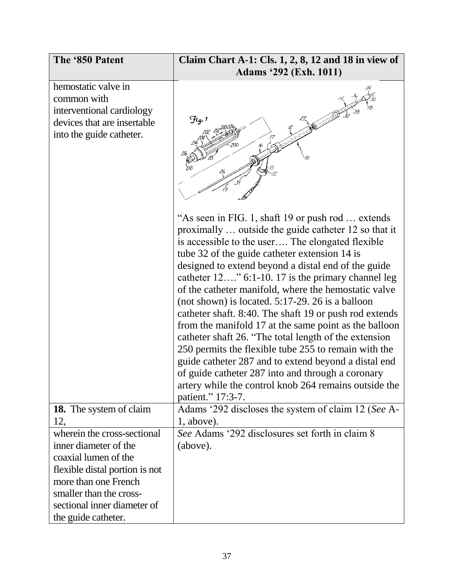| The '850 Patent                                                                                                                                                                                                         | Claim Chart A-1: Cls. 1, 2, 8, 12 and 18 in view of<br><b>Adams '292 (Exh. 1011)</b>                                                                                                                                                                                                                                                                                                                                                                                                                                                                                                                                                                                                                                                                                                                                                                                      |
|-------------------------------------------------------------------------------------------------------------------------------------------------------------------------------------------------------------------------|---------------------------------------------------------------------------------------------------------------------------------------------------------------------------------------------------------------------------------------------------------------------------------------------------------------------------------------------------------------------------------------------------------------------------------------------------------------------------------------------------------------------------------------------------------------------------------------------------------------------------------------------------------------------------------------------------------------------------------------------------------------------------------------------------------------------------------------------------------------------------|
| hemostatic valve in<br>common with<br>interventional cardiology<br>devices that are insertable<br>into the guide catheter.                                                                                              | $\mathcal{F}$ lg. 1                                                                                                                                                                                                                                                                                                                                                                                                                                                                                                                                                                                                                                                                                                                                                                                                                                                       |
|                                                                                                                                                                                                                         | "As seen in FIG. 1, shaft 19 or push rod  extends<br>proximally  outside the guide catheter 12 so that it<br>is accessible to the user The elongated flexible<br>tube 32 of the guide catheter extension 14 is<br>designed to extend beyond a distal end of the guide<br>catheter 12" 6:1-10. 17 is the primary channel leg<br>of the catheter manifold, where the hemostatic valve<br>(not shown) is located. $5:17-29$ . 26 is a balloon<br>catheter shaft. 8:40. The shaft 19 or push rod extends<br>from the manifold 17 at the same point as the balloon<br>catheter shaft 26. "The total length of the extension<br>250 permits the flexible tube 255 to remain with the<br>guide catheter 287 and to extend beyond a distal end<br>of guide catheter 287 into and through a coronary<br>artery while the control knob 264 remains outside the<br>patient." 17:3-7. |
| <b>18.</b> The system of claim<br>12,                                                                                                                                                                                   | Adams '292 discloses the system of claim 12 (See A-<br>1, above).                                                                                                                                                                                                                                                                                                                                                                                                                                                                                                                                                                                                                                                                                                                                                                                                         |
| wherein the cross-sectional<br>inner diameter of the<br>coaxial lumen of the<br>flexible distal portion is not<br>more than one French<br>smaller than the cross-<br>sectional inner diameter of<br>the guide catheter. | See Adams '292 disclosures set forth in claim 8<br>(above).                                                                                                                                                                                                                                                                                                                                                                                                                                                                                                                                                                                                                                                                                                                                                                                                               |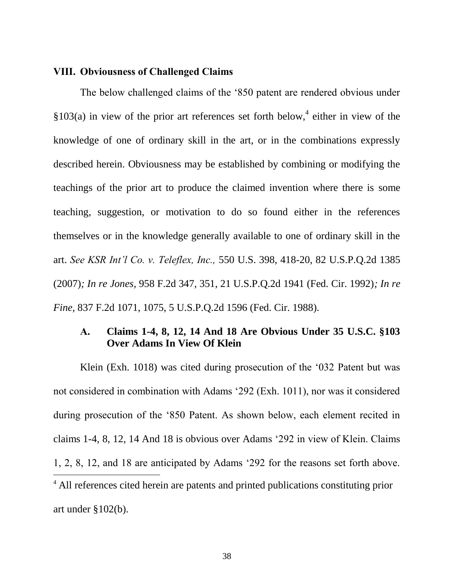#### <span id="page-42-0"></span>**VIII. Obviousness of Challenged Claims**

The below challenged claims of the '850 patent are rendered obvious under  $$103(a)$  in view of the prior art references set forth below,<sup>4</sup> either in view of the knowledge of one of ordinary skill in the art, or in the combinations expressly described herein. Obviousness may be established by combining or modifying the teachings of the prior art to produce the claimed invention where there is some teaching, suggestion, or motivation to do so found either in the references themselves or in the knowledge generally available to one of ordinary skill in the art. *See KSR Int'l Co. v. Teleflex, Inc.,* 550 U.S. 398, 418-20, 82 U.S.P.Q.2d 1385 (2007)*; In re Jones,* 958 F.2d 347, 351, 21 U.S.P.Q.2d 1941 (Fed. Cir. 1992)*; In re Fine,* 837 F.2d 1071, 1075, 5 U.S.P.Q.2d 1596 (Fed. Cir. 1988)*.*

# <span id="page-42-1"></span>**A. Claims 1-4, 8, 12, 14 And 18 Are Obvious Under 35 U.S.C. §103 Over Adams In View Of Klein**

Klein (Exh. 1018) was cited during prosecution of the '032 Patent but was not considered in combination with Adams '292 (Exh. 1011), nor was it considered during prosecution of the '850 Patent. As shown below, each element recited in claims 1-4, 8, 12, 14 And 18 is obvious over Adams '292 in view of Klein. Claims 1, 2, 8, 12, and 18 are anticipated by Adams '292 for the reasons set forth above.  $\overline{a}$ <sup>4</sup> All references cited herein are patents and printed publications constituting prior art under §102(b).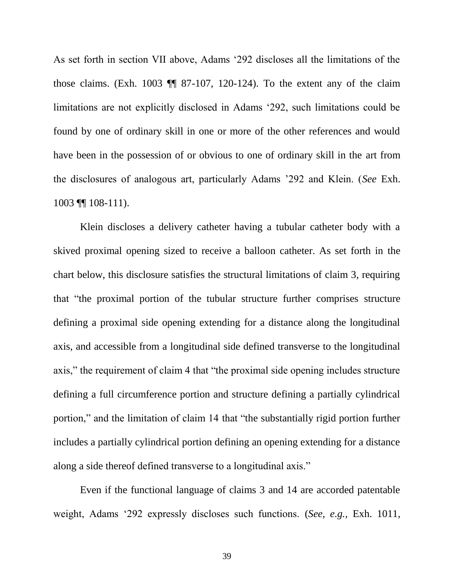As set forth in section VII above, Adams '292 discloses all the limitations of the those claims. (Exh. 1003  $\P$  87-107, 120-124). To the extent any of the claim limitations are not explicitly disclosed in Adams '292, such limitations could be found by one of ordinary skill in one or more of the other references and would have been in the possession of or obvious to one of ordinary skill in the art from the disclosures of analogous art, particularly Adams '292 and Klein. (*See* Exh. 1003 ¶¶ 108-111).

Klein discloses a delivery catheter having a tubular catheter body with a skived proximal opening sized to receive a balloon catheter. As set forth in the chart below, this disclosure satisfies the structural limitations of claim 3, requiring that "the proximal portion of the tubular structure further comprises structure defining a proximal side opening extending for a distance along the longitudinal axis, and accessible from a longitudinal side defined transverse to the longitudinal axis," the requirement of claim 4 that "the proximal side opening includes structure defining a full circumference portion and structure defining a partially cylindrical portion," and the limitation of claim 14 that "the substantially rigid portion further includes a partially cylindrical portion defining an opening extending for a distance along a side thereof defined transverse to a longitudinal axis."

Even if the functional language of claims 3 and 14 are accorded patentable weight, Adams '292 expressly discloses such functions. (*See, e.g.,* Exh. 1011,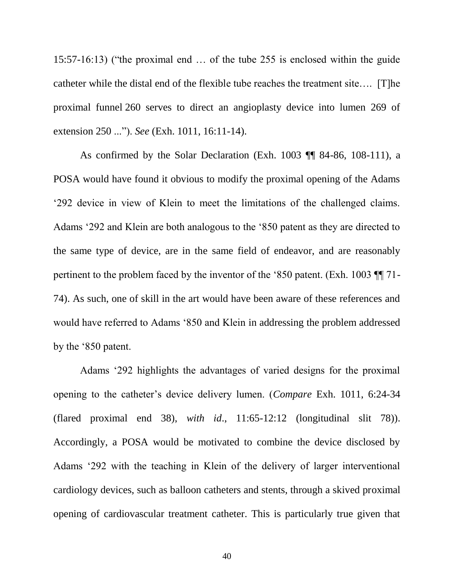15:57-16:13) ("the proximal end … of the tube 255 is enclosed within the guide catheter while the distal end of the flexible tube reaches the treatment site…. [T]he proximal funnel 260 serves to direct an angioplasty device into lumen 269 of extension 250 ..."). *See* (Exh. 1011, 16:11-14).

As confirmed by the Solar Declaration (Exh. 1003 ¶¶ 84-86, 108-111), a POSA would have found it obvious to modify the proximal opening of the Adams '292 device in view of Klein to meet the limitations of the challenged claims. Adams '292 and Klein are both analogous to the '850 patent as they are directed to the same type of device, are in the same field of endeavor, and are reasonably pertinent to the problem faced by the inventor of the '850 patent. (Exh. 1003 ¶¶ 71- 74). As such, one of skill in the art would have been aware of these references and would have referred to Adams '850 and Klein in addressing the problem addressed by the '850 patent.

Adams '292 highlights the advantages of varied designs for the proximal opening to the catheter's device delivery lumen. (*Compare* Exh. 1011, 6:24-34 (flared proximal end 38), *with id*., 11:65-12:12 (longitudinal slit 78)). Accordingly, a POSA would be motivated to combine the device disclosed by Adams '292 with the teaching in Klein of the delivery of larger interventional cardiology devices, such as balloon catheters and stents, through a skived proximal opening of cardiovascular treatment catheter. This is particularly true given that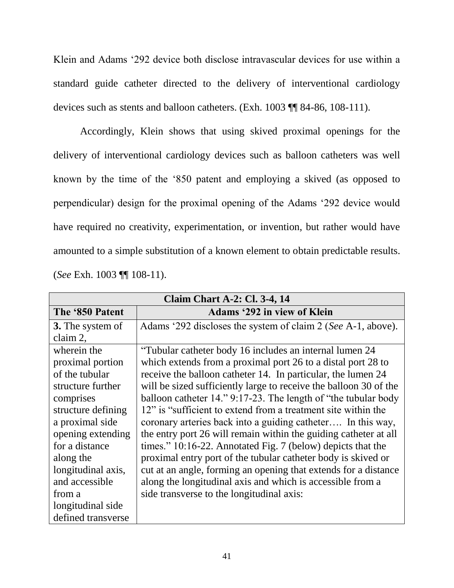Klein and Adams '292 device both disclose intravascular devices for use within a standard guide catheter directed to the delivery of interventional cardiology devices such as stents and balloon catheters. (Exh. 1003 ¶¶ 84-86, 108-111).

Accordingly, Klein shows that using skived proximal openings for the delivery of interventional cardiology devices such as balloon catheters was well known by the time of the '850 patent and employing a skived (as opposed to perpendicular) design for the proximal opening of the Adams '292 device would have required no creativity, experimentation, or invention, but rather would have amounted to a simple substitution of a known element to obtain predictable results. (*See* Exh. 1003 ¶¶ 108-11).

| <b>Claim Chart A-2: Cl. 3-4, 14</b> |                                                                   |
|-------------------------------------|-------------------------------------------------------------------|
| The '850 Patent                     | <b>Adams '292 in view of Klein</b>                                |
| <b>3.</b> The system of             | Adams '292 discloses the system of claim 2 (See A-1, above).      |
| claim 2,                            |                                                                   |
| wherein the                         | "Tubular catheter body 16 includes an internal lumen 24           |
| proximal portion                    | which extends from a proximal port 26 to a distal port 28 to      |
| of the tubular                      | receive the balloon catheter 14. In particular, the lumen 24      |
| structure further                   | will be sized sufficiently large to receive the balloon 30 of the |
| comprises                           | balloon catheter 14." 9:17-23. The length of "the tubular body"   |
| structure defining                  | 12" is "sufficient to extend from a treatment site within the     |
| a proximal side                     | coronary arteries back into a guiding catheter In this way,       |
| opening extending                   | the entry port 26 will remain within the guiding catheter at all  |
| for a distance                      | times." 10:16-22. Annotated Fig. 7 (below) depicts that the       |
| along the                           | proximal entry port of the tubular catheter body is skived or     |
| longitudinal axis,                  | cut at an angle, forming an opening that extends for a distance   |
| and accessible                      | along the longitudinal axis and which is accessible from a        |
| from a                              | side transverse to the longitudinal axis:                         |
| longitudinal side                   |                                                                   |
| defined transverse                  |                                                                   |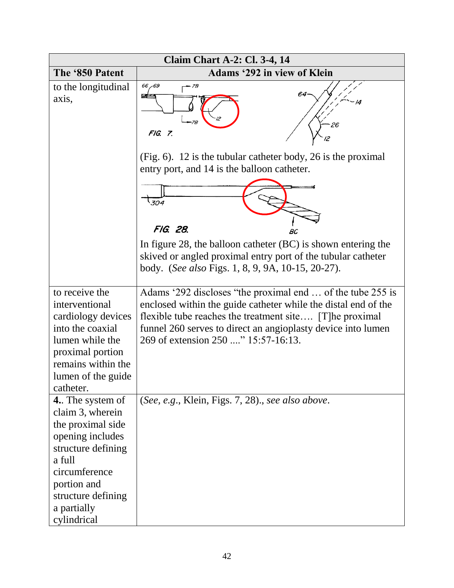|                                                                                                                                                                                                          | <b>Claim Chart A-2: Cl. 3-4, 14</b>                                                                                                                                                                                                                                                            |
|----------------------------------------------------------------------------------------------------------------------------------------------------------------------------------------------------------|------------------------------------------------------------------------------------------------------------------------------------------------------------------------------------------------------------------------------------------------------------------------------------------------|
| The '850 Patent                                                                                                                                                                                          | <b>Adams '292 in view of Klein</b>                                                                                                                                                                                                                                                             |
| to the longitudinal<br>axis,                                                                                                                                                                             | 66,69<br>- 7B<br>64<br>26<br>FIG. 7.                                                                                                                                                                                                                                                           |
|                                                                                                                                                                                                          | (Fig. 6). 12 is the tubular catheter body, 26 is the proximal<br>entry port, and 14 is the balloon catheter.                                                                                                                                                                                   |
|                                                                                                                                                                                                          | 304<br>FIG. 28.                                                                                                                                                                                                                                                                                |
|                                                                                                                                                                                                          | BC<br>In figure 28, the balloon catheter (BC) is shown entering the<br>skived or angled proximal entry port of the tubular catheter<br>body. (See also Figs. 1, 8, 9, 9A, 10-15, 20-27).                                                                                                       |
| to receive the<br>interventional<br>cardiology devices<br>into the coaxial<br>lumen while the<br>proximal portion<br>remains within the<br>lumen of the guide<br>catheter.                               | Adams '292 discloses "the proximal end  of the tube 255 is<br>enclosed within the guide catheter while the distal end of the<br>flexible tube reaches the treatment site [T]he proximal<br>funnel 260 serves to direct an angioplasty device into lumen<br>269 of extension 250 " 15:57-16:13. |
| <b>4.</b> The system of<br>claim 3, wherein<br>the proximal side<br>opening includes<br>structure defining<br>a full<br>circumference<br>portion and<br>structure defining<br>a partially<br>cylindrical | (See, e.g., Klein, Figs. 7, 28)., see also above.                                                                                                                                                                                                                                              |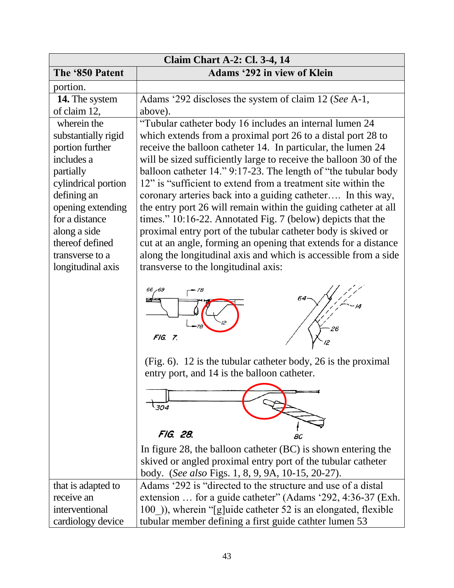| <b>Claim Chart A-2: Cl. 3-4, 14</b> |                                                                                                                                                                                                                                                                                      |
|-------------------------------------|--------------------------------------------------------------------------------------------------------------------------------------------------------------------------------------------------------------------------------------------------------------------------------------|
| The '850 Patent                     | <b>Adams '292 in view of Klein</b>                                                                                                                                                                                                                                                   |
| portion.                            |                                                                                                                                                                                                                                                                                      |
| 14. The system                      | Adams '292 discloses the system of claim 12 (See A-1,                                                                                                                                                                                                                                |
| of claim 12,                        | above).                                                                                                                                                                                                                                                                              |
| wherein the                         | "Tubular catheter body 16 includes an internal lumen 24                                                                                                                                                                                                                              |
| substantially rigid                 | which extends from a proximal port 26 to a distal port 28 to                                                                                                                                                                                                                         |
| portion further                     | receive the balloon catheter 14. In particular, the lumen 24                                                                                                                                                                                                                         |
| includes a                          | will be sized sufficiently large to receive the balloon 30 of the                                                                                                                                                                                                                    |
| partially                           | balloon catheter 14." 9:17-23. The length of "the tubular body"                                                                                                                                                                                                                      |
| cylindrical portion                 | 12" is "sufficient to extend from a treatment site within the                                                                                                                                                                                                                        |
| defining an                         | coronary arteries back into a guiding catheter In this way,                                                                                                                                                                                                                          |
| opening extending                   | the entry port 26 will remain within the guiding catheter at all                                                                                                                                                                                                                     |
| for a distance                      | times." 10:16-22. Annotated Fig. 7 (below) depicts that the                                                                                                                                                                                                                          |
| along a side                        | proximal entry port of the tubular catheter body is skived or                                                                                                                                                                                                                        |
| thereof defined                     | cut at an angle, forming an opening that extends for a distance                                                                                                                                                                                                                      |
| transverse to a                     | along the longitudinal axis and which is accessible from a side                                                                                                                                                                                                                      |
| longitudinal axis                   | transverse to the longitudinal axis:                                                                                                                                                                                                                                                 |
|                                     | FIG. 7.<br>$(Fig. 6)$ . 12 is the tubular catheter body, 26 is the proximal<br>entry port, and 14 is the balloon catheter.<br>304<br>FIG. 28.<br>BC<br>In figure 28, the balloon catheter (BC) is shown entering the<br>skived or angled proximal entry port of the tubular catheter |
|                                     | body. (See also Figs. 1, 8, 9, 9A, 10-15, 20-27).                                                                                                                                                                                                                                    |
| that is adapted to                  | Adams '292 is "directed to the structure and use of a distal                                                                                                                                                                                                                         |
| receive an                          | extension  for a guide catheter" (Adams '292, 4:36-37 (Exh.                                                                                                                                                                                                                          |
| interventional                      | 100), wherein "[g]uide catheter 52 is an elongated, flexible                                                                                                                                                                                                                         |
| cardiology device                   | tubular member defining a first guide cathter lumen 53                                                                                                                                                                                                                               |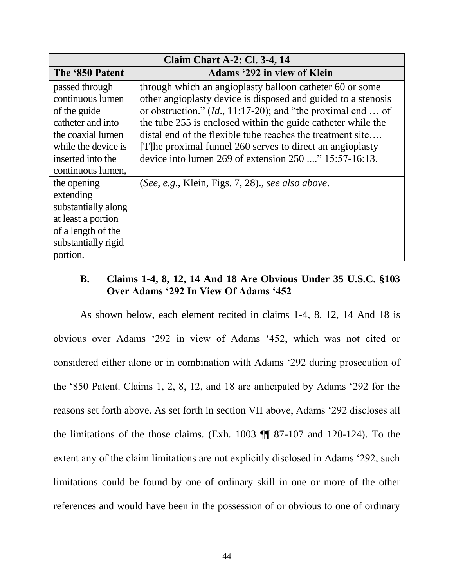| <b>Claim Chart A-2: Cl. 3-4, 14</b>                                                                                                                           |                                                                                                                                                                                                                                                                                                                                                                                                                                                  |
|---------------------------------------------------------------------------------------------------------------------------------------------------------------|--------------------------------------------------------------------------------------------------------------------------------------------------------------------------------------------------------------------------------------------------------------------------------------------------------------------------------------------------------------------------------------------------------------------------------------------------|
| The '850 Patent                                                                                                                                               | <b>Adams '292 in view of Klein</b>                                                                                                                                                                                                                                                                                                                                                                                                               |
| passed through<br>continuous lumen<br>of the guide<br>catheter and into<br>the coaxial lumen<br>while the device is<br>inserted into the<br>continuous lumen, | through which an angioplasty balloon catheter 60 or some<br>other angioplasty device is disposed and guided to a stenosis<br>or obstruction." $(Id., 11:17-20)$ ; and "the proximal end  of<br>the tube 255 is enclosed within the guide catheter while the<br>distal end of the flexible tube reaches the treatment site<br>[T] he proximal funnel 260 serves to direct an angioplasty<br>device into lumen 269 of extension 250 " 15:57-16:13. |
| the opening<br>extending<br>substantially along<br>at least a portion<br>of a length of the<br>substantially rigid<br>portion.                                | (See, e.g., Klein, Figs. 7, 28)., see also above.                                                                                                                                                                                                                                                                                                                                                                                                |

# <span id="page-48-0"></span>**B. Claims 1-4, 8, 12, 14 And 18 Are Obvious Under 35 U.S.C. §103 Over Adams '292 In View Of Adams '452**

As shown below, each element recited in claims 1-4, 8, 12, 14 And 18 is obvious over Adams '292 in view of Adams '452, which was not cited or considered either alone or in combination with Adams '292 during prosecution of the '850 Patent. Claims 1, 2, 8, 12, and 18 are anticipated by Adams '292 for the reasons set forth above. As set forth in section VII above, Adams '292 discloses all the limitations of the those claims. (Exh. 1003 ¶¶ 87-107 and 120-124). To the extent any of the claim limitations are not explicitly disclosed in Adams '292, such limitations could be found by one of ordinary skill in one or more of the other references and would have been in the possession of or obvious to one of ordinary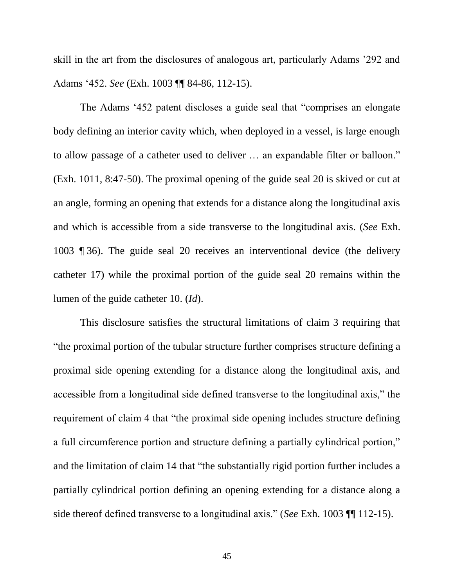skill in the art from the disclosures of analogous art, particularly Adams '292 and Adams '452. *See* (Exh. 1003 ¶¶ 84-86, 112-15).

The Adams '452 patent discloses a guide seal that "comprises an elongate body defining an interior cavity which, when deployed in a vessel, is large enough to allow passage of a catheter used to deliver … an expandable filter or balloon." (Exh. 1011, 8:47-50). The proximal opening of the guide seal 20 is skived or cut at an angle, forming an opening that extends for a distance along the longitudinal axis and which is accessible from a side transverse to the longitudinal axis. (*See* Exh. 1003 ¶ 36). The guide seal 20 receives an interventional device (the delivery catheter 17) while the proximal portion of the guide seal 20 remains within the lumen of the guide catheter 10. (*Id*).

This disclosure satisfies the structural limitations of claim 3 requiring that "the proximal portion of the tubular structure further comprises structure defining a proximal side opening extending for a distance along the longitudinal axis, and accessible from a longitudinal side defined transverse to the longitudinal axis," the requirement of claim 4 that "the proximal side opening includes structure defining a full circumference portion and structure defining a partially cylindrical portion," and the limitation of claim 14 that "the substantially rigid portion further includes a partially cylindrical portion defining an opening extending for a distance along a side thereof defined transverse to a longitudinal axis." (*See* Exh. 1003 ¶¶ 112-15).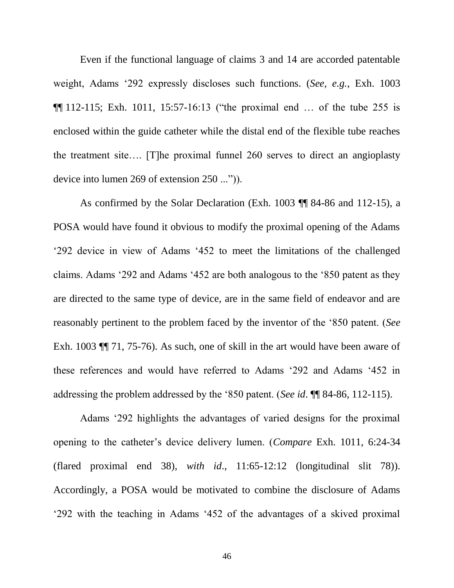Even if the functional language of claims 3 and 14 are accorded patentable weight, Adams '292 expressly discloses such functions. (*See, e.g.,* Exh. 1003  $\P$ [112-115; Exh. 1011, 15:57-16:13 ("the proximal end ... of the tube 255 is enclosed within the guide catheter while the distal end of the flexible tube reaches the treatment site…. [T]he proximal funnel 260 serves to direct an angioplasty device into lumen 269 of extension 250 ...")).

As confirmed by the Solar Declaration (Exh. 1003 ¶¶ 84-86 and 112-15), a POSA would have found it obvious to modify the proximal opening of the Adams '292 device in view of Adams '452 to meet the limitations of the challenged claims. Adams '292 and Adams '452 are both analogous to the '850 patent as they are directed to the same type of device, are in the same field of endeavor and are reasonably pertinent to the problem faced by the inventor of the '850 patent. (*See* Exh. 1003 ¶¶ 71, 75-76). As such, one of skill in the art would have been aware of these references and would have referred to Adams '292 and Adams '452 in addressing the problem addressed by the '850 patent. (*See id*. ¶¶ 84-86, 112-115).

Adams '292 highlights the advantages of varied designs for the proximal opening to the catheter's device delivery lumen. (*Compare* Exh. 1011, 6:24-34 (flared proximal end 38), *with id*., 11:65-12:12 (longitudinal slit 78)). Accordingly, a POSA would be motivated to combine the disclosure of Adams '292 with the teaching in Adams '452 of the advantages of a skived proximal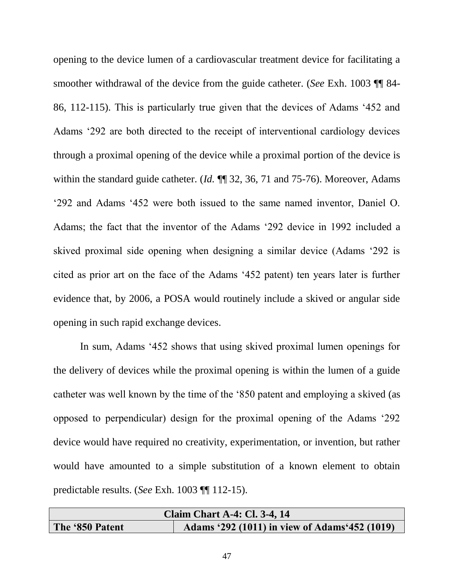opening to the device lumen of a cardiovascular treatment device for facilitating a smoother withdrawal of the device from the guide catheter. (*See* Exh. 1003 ¶¶ 84- 86, 112-115). This is particularly true given that the devices of Adams '452 and Adams '292 are both directed to the receipt of interventional cardiology devices through a proximal opening of the device while a proximal portion of the device is within the standard guide catheter. (*Id.* ¶¶ 32, 36, 71 and 75-76). Moreover, Adams '292 and Adams '452 were both issued to the same named inventor, Daniel O. Adams; the fact that the inventor of the Adams '292 device in 1992 included a skived proximal side opening when designing a similar device (Adams '292 is cited as prior art on the face of the Adams '452 patent) ten years later is further evidence that, by 2006, a POSA would routinely include a skived or angular side opening in such rapid exchange devices.

In sum, Adams '452 shows that using skived proximal lumen openings for the delivery of devices while the proximal opening is within the lumen of a guide catheter was well known by the time of the '850 patent and employing a skived (as opposed to perpendicular) design for the proximal opening of the Adams '292 device would have required no creativity, experimentation, or invention, but rather would have amounted to a simple substitution of a known element to obtain predictable results. (*See* Exh. 1003 ¶¶ 112-15).

| <b>Claim Chart A-4: Cl. 3-4, 14</b> |                                                |
|-------------------------------------|------------------------------------------------|
| The '850 Patent                     | Adams '292 (1011) in view of Adams '452 (1019) |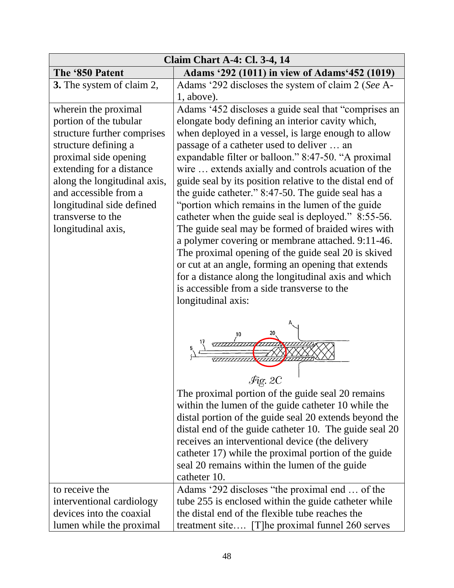| <b>Claim Chart A-4: Cl. 3-4, 14</b> |                                                                                                                                                                                                                                                                                                                                                                                                                     |
|-------------------------------------|---------------------------------------------------------------------------------------------------------------------------------------------------------------------------------------------------------------------------------------------------------------------------------------------------------------------------------------------------------------------------------------------------------------------|
| The '850 Patent                     | Adams '292 (1011) in view of Adams' 452 (1019)                                                                                                                                                                                                                                                                                                                                                                      |
| 3. The system of claim 2,           | Adams '292 discloses the system of claim 2 (See A-                                                                                                                                                                                                                                                                                                                                                                  |
|                                     | 1, above).                                                                                                                                                                                                                                                                                                                                                                                                          |
| wherein the proximal                | Adams '452 discloses a guide seal that "comprises an                                                                                                                                                                                                                                                                                                                                                                |
| portion of the tubular              | elongate body defining an interior cavity which,                                                                                                                                                                                                                                                                                                                                                                    |
| structure further comprises         | when deployed in a vessel, is large enough to allow                                                                                                                                                                                                                                                                                                                                                                 |
| structure defining a                | passage of a catheter used to deliver  an                                                                                                                                                                                                                                                                                                                                                                           |
| proximal side opening               | expandable filter or balloon." 8:47-50. "A proximal                                                                                                                                                                                                                                                                                                                                                                 |
| extending for a distance            | wire  extends axially and controls acuation of the                                                                                                                                                                                                                                                                                                                                                                  |
| along the longitudinal axis,        | guide seal by its position relative to the distal end of                                                                                                                                                                                                                                                                                                                                                            |
| and accessible from a               | the guide catheter." 8:47-50. The guide seal has a                                                                                                                                                                                                                                                                                                                                                                  |
| longitudinal side defined           | "portion which remains in the lumen of the guide"                                                                                                                                                                                                                                                                                                                                                                   |
| transverse to the                   | catheter when the guide seal is deployed." 8:55-56.                                                                                                                                                                                                                                                                                                                                                                 |
| longitudinal axis,                  | The guide seal may be formed of braided wires with                                                                                                                                                                                                                                                                                                                                                                  |
|                                     | a polymer covering or membrane attached. 9:11-46.                                                                                                                                                                                                                                                                                                                                                                   |
|                                     | The proximal opening of the guide seal 20 is skived                                                                                                                                                                                                                                                                                                                                                                 |
|                                     | or cut at an angle, forming an opening that extends                                                                                                                                                                                                                                                                                                                                                                 |
|                                     | for a distance along the longitudinal axis and which                                                                                                                                                                                                                                                                                                                                                                |
|                                     | is accessible from a side transverse to the                                                                                                                                                                                                                                                                                                                                                                         |
|                                     | longitudinal axis:                                                                                                                                                                                                                                                                                                                                                                                                  |
|                                     | Fio. 2C<br>The proximal portion of the guide seal 20 remains<br>within the lumen of the guide catheter 10 while the<br>distal portion of the guide seal 20 extends beyond the<br>distal end of the guide catheter 10. The guide seal 20<br>receives an interventional device (the delivery<br>catheter 17) while the proximal portion of the guide<br>seal 20 remains within the lumen of the guide<br>catheter 10. |
| to receive the                      | Adams '292 discloses "the proximal end  of the                                                                                                                                                                                                                                                                                                                                                                      |
| interventional cardiology           | tube 255 is enclosed within the guide catheter while                                                                                                                                                                                                                                                                                                                                                                |
| devices into the coaxial            | the distal end of the flexible tube reaches the                                                                                                                                                                                                                                                                                                                                                                     |
| lumen while the proximal            | treatment site [T] he proximal funnel 260 serves                                                                                                                                                                                                                                                                                                                                                                    |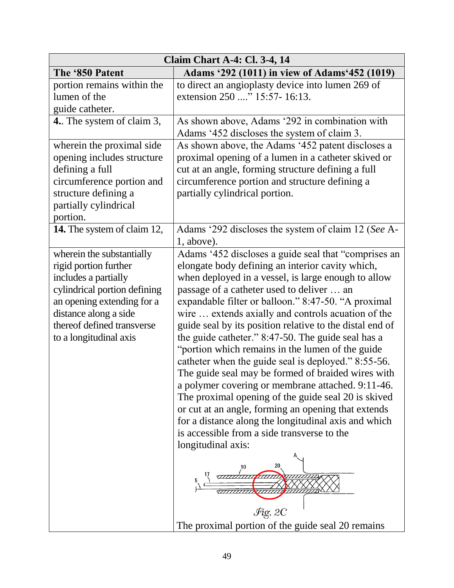|                                                                                                                                                                                                                           | <b>Claim Chart A-4: Cl. 3-4, 14</b>                                                                                                                                                                                                                                                                                                                                                                                                                                                                                                                                                                                                                                                                                                                                                                                                                                                                                                                                                        |
|---------------------------------------------------------------------------------------------------------------------------------------------------------------------------------------------------------------------------|--------------------------------------------------------------------------------------------------------------------------------------------------------------------------------------------------------------------------------------------------------------------------------------------------------------------------------------------------------------------------------------------------------------------------------------------------------------------------------------------------------------------------------------------------------------------------------------------------------------------------------------------------------------------------------------------------------------------------------------------------------------------------------------------------------------------------------------------------------------------------------------------------------------------------------------------------------------------------------------------|
| The '850 Patent                                                                                                                                                                                                           | Adams '292 (1011) in view of Adams' 452 (1019)                                                                                                                                                                                                                                                                                                                                                                                                                                                                                                                                                                                                                                                                                                                                                                                                                                                                                                                                             |
| portion remains within the<br>lumen of the<br>guide catheter.                                                                                                                                                             | to direct an angioplasty device into lumen 269 of<br>extension 250 " 15:57-16:13.                                                                                                                                                                                                                                                                                                                                                                                                                                                                                                                                                                                                                                                                                                                                                                                                                                                                                                          |
| 4. The system of claim 3,                                                                                                                                                                                                 | As shown above, Adams '292 in combination with<br>Adams '452 discloses the system of claim 3.                                                                                                                                                                                                                                                                                                                                                                                                                                                                                                                                                                                                                                                                                                                                                                                                                                                                                              |
| wherein the proximal side<br>opening includes structure<br>defining a full<br>circumference portion and<br>structure defining a<br>partially cylindrical<br>portion.                                                      | As shown above, the Adams '452 patent discloses a<br>proximal opening of a lumen in a catheter skived or<br>cut at an angle, forming structure defining a full<br>circumference portion and structure defining a<br>partially cylindrical portion.                                                                                                                                                                                                                                                                                                                                                                                                                                                                                                                                                                                                                                                                                                                                         |
| 14. The system of claim 12,                                                                                                                                                                                               | Adams '292 discloses the system of claim 12 (See A-<br>1, above).                                                                                                                                                                                                                                                                                                                                                                                                                                                                                                                                                                                                                                                                                                                                                                                                                                                                                                                          |
| wherein the substantially<br>rigid portion further<br>includes a partially<br>cylindrical portion defining<br>an opening extending for a<br>distance along a side<br>thereof defined transverse<br>to a longitudinal axis | Adams '452 discloses a guide seal that "comprises an<br>elongate body defining an interior cavity which,<br>when deployed in a vessel, is large enough to allow<br>passage of a catheter used to deliver  an<br>expandable filter or balloon." 8:47-50. "A proximal<br>wire  extends axially and controls acuation of the<br>guide seal by its position relative to the distal end of<br>the guide catheter." 8:47-50. The guide seal has a<br>"portion which remains in the lumen of the guide"<br>catheter when the guide seal is deployed." 8:55-56.<br>The guide seal may be formed of braided wires with<br>a polymer covering or membrane attached. 9:11-46.<br>The proximal opening of the guide seal 20 is skived<br>or cut at an angle, forming an opening that extends<br>for a distance along the longitudinal axis and which<br>is accessible from a side transverse to the<br>longitudinal axis:<br>$\mathcal{F}$ ig. 2C<br>The proximal portion of the guide seal 20 remains |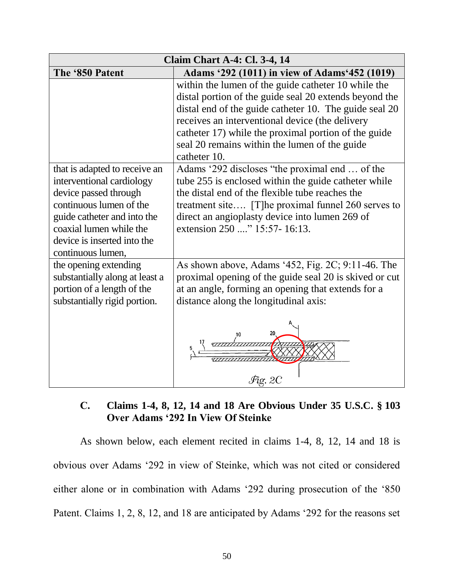| <b>Claim Chart A-4: Cl. 3-4, 14</b>                                                                                                                                                                                          |                                                                                                                                                                                                                                                                                                                                                     |
|------------------------------------------------------------------------------------------------------------------------------------------------------------------------------------------------------------------------------|-----------------------------------------------------------------------------------------------------------------------------------------------------------------------------------------------------------------------------------------------------------------------------------------------------------------------------------------------------|
| The '850 Patent                                                                                                                                                                                                              | Adams '292 (1011) in view of Adams' 452 (1019)                                                                                                                                                                                                                                                                                                      |
|                                                                                                                                                                                                                              | within the lumen of the guide catheter 10 while the<br>distal portion of the guide seal 20 extends beyond the<br>distal end of the guide catheter 10. The guide seal 20<br>receives an interventional device (the delivery<br>catheter 17) while the proximal portion of the guide<br>seal 20 remains within the lumen of the guide<br>catheter 10. |
| that is adapted to receive an<br>interventional cardiology<br>device passed through<br>continuous lumen of the<br>guide catheter and into the<br>coaxial lumen while the<br>device is inserted into the<br>continuous lumen, | Adams '292 discloses "the proximal end  of the<br>tube 255 is enclosed within the guide catheter while<br>the distal end of the flexible tube reaches the<br>treatment site [T] he proximal funnel 260 serves to<br>direct an angioplasty device into lumen 269 of<br>extension 250 " 15:57-16:13.                                                  |
| the opening extending<br>substantially along at least a<br>portion of a length of the<br>substantially rigid portion.                                                                                                        | As shown above, Adams '452, Fig. 2C; $9:11-46$ . The<br>proximal opening of the guide seal 20 is skived or cut<br>at an angle, forming an opening that extends for a<br>distance along the longitudinal axis:                                                                                                                                       |
|                                                                                                                                                                                                                              | $\mathscr{F}\hspace{-1.5pt}\mathit{ic}\hspace{-1.5pt}.$ 2C                                                                                                                                                                                                                                                                                          |

# <span id="page-54-0"></span>**C. Claims 1-4, 8, 12, 14 and 18 Are Obvious Under 35 U.S.C. § 103 Over Adams '292 In View Of Steinke**

As shown below, each element recited in claims 1-4, 8, 12, 14 and 18 is obvious over Adams '292 in view of Steinke, which was not cited or considered either alone or in combination with Adams '292 during prosecution of the '850 Patent. Claims 1, 2, 8, 12, and 18 are anticipated by Adams '292 for the reasons set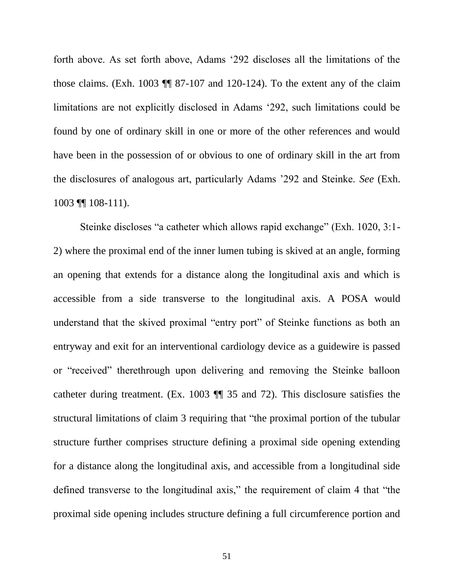forth above. As set forth above, Adams '292 discloses all the limitations of the those claims. (Exh. 1003 ¶¶ 87-107 and 120-124). To the extent any of the claim limitations are not explicitly disclosed in Adams '292, such limitations could be found by one of ordinary skill in one or more of the other references and would have been in the possession of or obvious to one of ordinary skill in the art from the disclosures of analogous art, particularly Adams '292 and Steinke. *See* (Exh. 1003 ¶¶ 108-111).

Steinke discloses "a catheter which allows rapid exchange" (Exh. 1020, 3:1- 2) where the proximal end of the inner lumen tubing is skived at an angle, forming an opening that extends for a distance along the longitudinal axis and which is accessible from a side transverse to the longitudinal axis. A POSA would understand that the skived proximal "entry port" of Steinke functions as both an entryway and exit for an interventional cardiology device as a guidewire is passed or "received" therethrough upon delivering and removing the Steinke balloon catheter during treatment. (Ex. 1003 ¶¶ 35 and 72). This disclosure satisfies the structural limitations of claim 3 requiring that "the proximal portion of the tubular structure further comprises structure defining a proximal side opening extending for a distance along the longitudinal axis, and accessible from a longitudinal side defined transverse to the longitudinal axis," the requirement of claim 4 that "the proximal side opening includes structure defining a full circumference portion and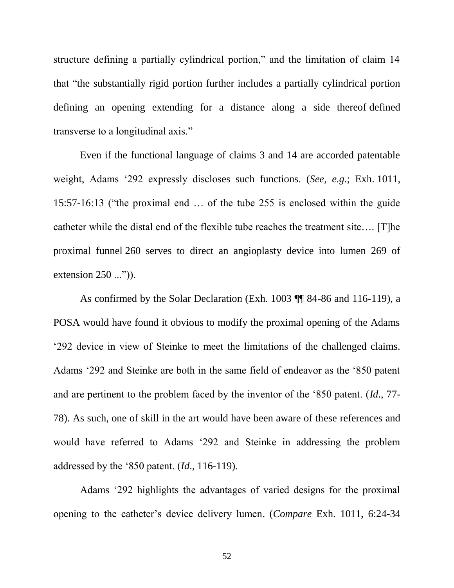structure defining a partially cylindrical portion," and the limitation of claim 14 that "the substantially rigid portion further includes a partially cylindrical portion defining an opening extending for a distance along a side thereof defined transverse to a longitudinal axis."

Even if the functional language of claims 3 and 14 are accorded patentable weight, Adams '292 expressly discloses such functions. (*See, e.g.*; Exh. 1011, 15:57-16:13 ("the proximal end … of the tube 255 is enclosed within the guide catheter while the distal end of the flexible tube reaches the treatment site…. [T]he proximal funnel 260 serves to direct an angioplasty device into lumen 269 of extension 250 ...")).

As confirmed by the Solar Declaration (Exh. 1003 ¶¶ 84-86 and 116-119), a POSA would have found it obvious to modify the proximal opening of the Adams '292 device in view of Steinke to meet the limitations of the challenged claims. Adams '292 and Steinke are both in the same field of endeavor as the '850 patent and are pertinent to the problem faced by the inventor of the '850 patent. (*Id*., 77- 78). As such, one of skill in the art would have been aware of these references and would have referred to Adams '292 and Steinke in addressing the problem addressed by the '850 patent. (*Id*., 116-119).

Adams '292 highlights the advantages of varied designs for the proximal opening to the catheter's device delivery lumen. (*Compare* Exh. 1011, 6:24-34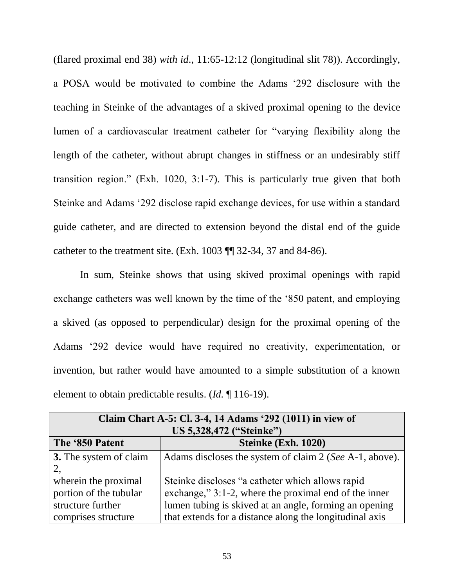(flared proximal end 38) *with id*., 11:65-12:12 (longitudinal slit 78)). Accordingly, a POSA would be motivated to combine the Adams '292 disclosure with the teaching in Steinke of the advantages of a skived proximal opening to the device lumen of a cardiovascular treatment catheter for "varying flexibility along the length of the catheter, without abrupt changes in stiffness or an undesirably stiff transition region." (Exh. 1020, 3:1-7). This is particularly true given that both Steinke and Adams '292 disclose rapid exchange devices, for use within a standard guide catheter, and are directed to extension beyond the distal end of the guide catheter to the treatment site. (Exh. 1003 ¶¶ 32-34, 37 and 84-86).

In sum, Steinke shows that using skived proximal openings with rapid exchange catheters was well known by the time of the '850 patent, and employing a skived (as opposed to perpendicular) design for the proximal opening of the Adams '292 device would have required no creativity, experimentation, or invention, but rather would have amounted to a simple substitution of a known element to obtain predictable results. (*Id.* ¶ 116-19).

| Claim Chart A-5: Cl. 3-4, 14 Adams '292 (1011) in view of |                                                         |
|-----------------------------------------------------------|---------------------------------------------------------|
| US 5,328,472 ("Steinke")                                  |                                                         |
| The '850 Patent                                           | Steinke (Exh. 1020)                                     |
| 3. The system of claim                                    | Adams discloses the system of claim 2 (See A-1, above). |
|                                                           |                                                         |
| wherein the proximal                                      | Steinke discloses "a catheter which allows rapid        |
| portion of the tubular                                    | exchange," 3:1-2, where the proximal end of the inner   |
| structure further                                         | lumen tubing is skived at an angle, forming an opening  |
| comprises structure                                       | that extends for a distance along the longitudinal axis |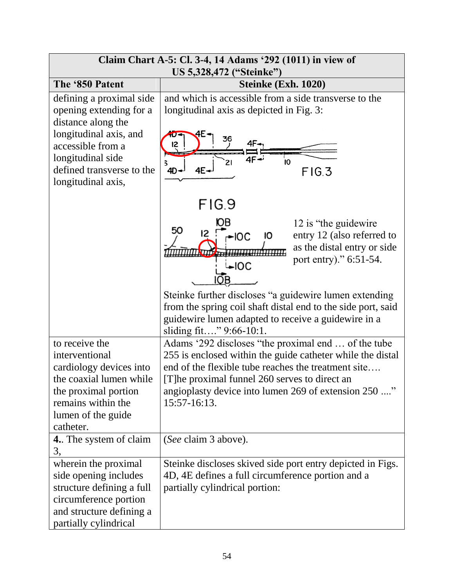| Claim Chart A-5: Cl. 3-4, 14 Adams '292 (1011) in view of<br>US 5,328,472 ("Steinke")                                                                                                             |                                                                                                                                                                                                                                                                                                                                                                       |
|---------------------------------------------------------------------------------------------------------------------------------------------------------------------------------------------------|-----------------------------------------------------------------------------------------------------------------------------------------------------------------------------------------------------------------------------------------------------------------------------------------------------------------------------------------------------------------------|
| The '850 Patent                                                                                                                                                                                   | Steinke (Exh. 1020)                                                                                                                                                                                                                                                                                                                                                   |
| defining a proximal side<br>opening extending for a<br>distance along the<br>longitudinal axis, and<br>accessible from a<br>longitudinal side<br>defined transverse to the<br>longitudinal axis,  | and which is accessible from a side transverse to the<br>longitudinal axis as depicted in Fig. 3:<br>36<br>12<br>10<br>21<br>4E-<br>$4D -$<br>FIG.3                                                                                                                                                                                                                   |
|                                                                                                                                                                                                   | FIG.9<br>ЮB<br>12 is "the guidewire"<br>50<br>entry 12 (also referred to<br>$-IOC$<br>10<br>as the distal entry or side<br>port entry)." 6:51-54.<br>∽lOC<br>Steinke further discloses "a guidewire lumen extending<br>from the spring coil shaft distal end to the side port, said<br>guidewire lumen adapted to receive a guidewire in a<br>sliding fit" 9:66-10:1. |
| to receive the<br>interventional<br>cardiology devices into<br>the coaxial lumen while<br>the proximal portion<br>remains within the<br>lumen of the guide<br>catheter.<br>4. The system of claim | Adams '292 discloses "the proximal end  of the tube<br>255 is enclosed within the guide catheter while the distal<br>end of the flexible tube reaches the treatment site<br>[T] he proximal funnel 260 serves to direct an<br>angioplasty device into lumen 269 of extension 250 "<br>15:57-16:13.<br>(See claim 3 above).                                            |
| 3,<br>wherein the proximal<br>side opening includes<br>structure defining a full<br>circumference portion<br>and structure defining a<br>partially cylindrical                                    | Steinke discloses skived side port entry depicted in Figs.<br>4D, 4E defines a full circumference portion and a<br>partially cylindrical portion:                                                                                                                                                                                                                     |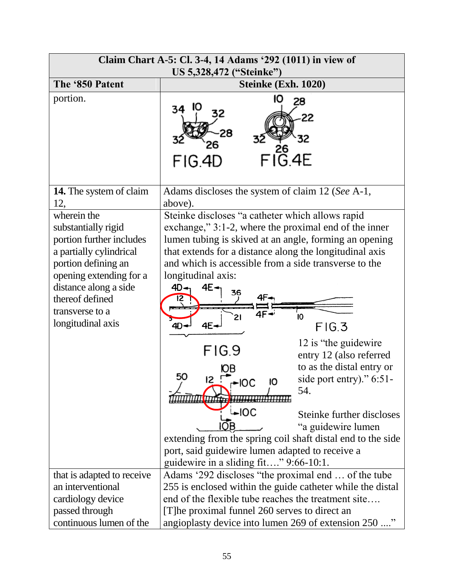| Claim Chart A-5: Cl. 3-4, 14 Adams '292 (1011) in view of<br>US 5,328,472 ("Steinke")                                                                                                                                           |                                                                                                                                                                                                                                                                                                                                                                                                                                                                                                                                                                                                                                                                                                                          |
|---------------------------------------------------------------------------------------------------------------------------------------------------------------------------------------------------------------------------------|--------------------------------------------------------------------------------------------------------------------------------------------------------------------------------------------------------------------------------------------------------------------------------------------------------------------------------------------------------------------------------------------------------------------------------------------------------------------------------------------------------------------------------------------------------------------------------------------------------------------------------------------------------------------------------------------------------------------------|
| The '850 Patent                                                                                                                                                                                                                 | Steinke (Exh. 1020)                                                                                                                                                                                                                                                                                                                                                                                                                                                                                                                                                                                                                                                                                                      |
| portion.                                                                                                                                                                                                                        | 28<br>34<br>$FI_{\rm G.4E}^{\rm 26}$<br>FIG.4D                                                                                                                                                                                                                                                                                                                                                                                                                                                                                                                                                                                                                                                                           |
| 14. The system of claim<br>12,                                                                                                                                                                                                  | Adams discloses the system of claim 12 (See A-1,<br>above).                                                                                                                                                                                                                                                                                                                                                                                                                                                                                                                                                                                                                                                              |
| wherein the<br>substantially rigid<br>portion further includes<br>a partially cylindrical<br>portion defining an<br>opening extending for a<br>distance along a side<br>thereof defined<br>transverse to a<br>longitudinal axis | Steinke discloses "a catheter which allows rapid<br>exchange," 3:1-2, where the proximal end of the inner<br>lumen tubing is skived at an angle, forming an opening<br>that extends for a distance along the longitudinal axis<br>and which is accessible from a side transverse to the<br>longitudinal axis:<br>4E<br>4D<br>36<br>Ю<br>FIG.3<br>4E.<br>12 is "the guidewire"<br>FIG.9<br>entry 12 (also referred<br>to as the distal entry or<br>50<br>side port entry)." $6:51$ -<br>łО<br>54.<br>i⊷lOC<br>Steinke further discloses<br>"a guidewire lumen<br>extending from the spring coil shaft distal end to the side<br>port, said guidewire lumen adapted to receive a<br>guidewire in a sliding fit" 9:66-10:1. |
| that is adapted to receive                                                                                                                                                                                                      | Adams '292 discloses "the proximal end  of the tube                                                                                                                                                                                                                                                                                                                                                                                                                                                                                                                                                                                                                                                                      |
| an interventional                                                                                                                                                                                                               | 255 is enclosed within the guide catheter while the distal                                                                                                                                                                                                                                                                                                                                                                                                                                                                                                                                                                                                                                                               |
| cardiology device                                                                                                                                                                                                               | end of the flexible tube reaches the treatment site                                                                                                                                                                                                                                                                                                                                                                                                                                                                                                                                                                                                                                                                      |
| passed through                                                                                                                                                                                                                  | [T] he proximal funnel 260 serves to direct an                                                                                                                                                                                                                                                                                                                                                                                                                                                                                                                                                                                                                                                                           |
| continuous lumen of the                                                                                                                                                                                                         | angioplasty device into lumen 269 of extension 250 "                                                                                                                                                                                                                                                                                                                                                                                                                                                                                                                                                                                                                                                                     |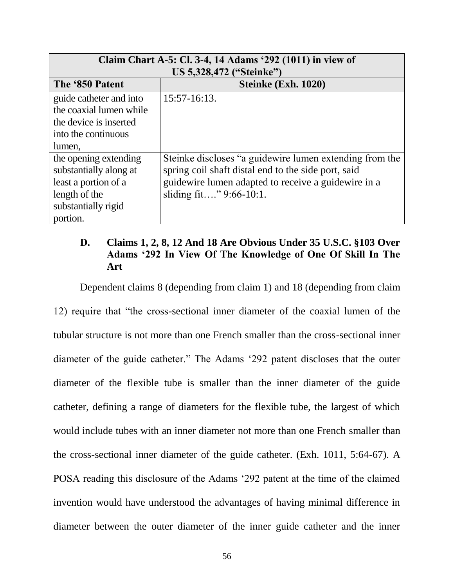| Claim Chart A-5: Cl. 3-4, 14 Adams '292 (1011) in view of<br>US 5,328,472 ("Steinke") |                                                         |
|---------------------------------------------------------------------------------------|---------------------------------------------------------|
| The '850 Patent                                                                       | Steinke (Exh. 1020)                                     |
| guide catheter and into                                                               | 15:57-16:13.                                            |
| the coaxial lumen while                                                               |                                                         |
| the device is inserted                                                                |                                                         |
| into the continuous                                                                   |                                                         |
| lumen,                                                                                |                                                         |
| the opening extending                                                                 | Steinke discloses "a guidewire lumen extending from the |
| substantially along at                                                                | spring coil shaft distal end to the side port, said     |
| least a portion of a                                                                  | guidewire lumen adapted to receive a guidewire in a     |
| length of the                                                                         | sliding fit" $9:66-10:1$ .                              |
| substantially rigid                                                                   |                                                         |
| portion.                                                                              |                                                         |

# <span id="page-60-0"></span>**D. Claims 1, 2, 8, 12 And 18 Are Obvious Under 35 U.S.C. §103 Over Adams '292 In View Of The Knowledge of One Of Skill In The Art**

Dependent claims 8 (depending from claim 1) and 18 (depending from claim

12) require that "the cross-sectional inner diameter of the coaxial lumen of the tubular structure is not more than one French smaller than the cross-sectional inner diameter of the guide catheter." The Adams '292 patent discloses that the outer diameter of the flexible tube is smaller than the inner diameter of the guide catheter, defining a range of diameters for the flexible tube, the largest of which would include tubes with an inner diameter not more than one French smaller than the cross-sectional inner diameter of the guide catheter. (Exh. 1011, 5:64-67). A POSA reading this disclosure of the Adams '292 patent at the time of the claimed invention would have understood the advantages of having minimal difference in diameter between the outer diameter of the inner guide catheter and the inner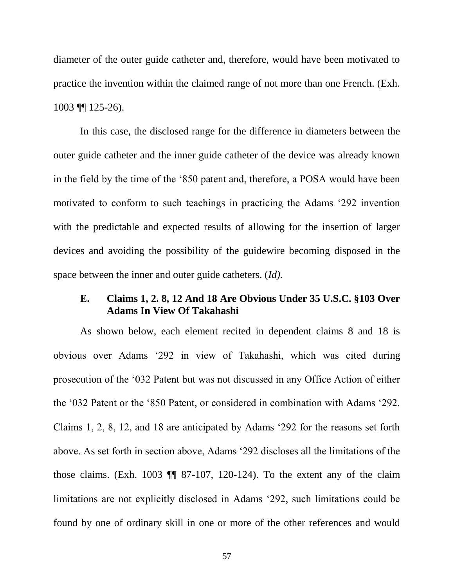diameter of the outer guide catheter and, therefore, would have been motivated to practice the invention within the claimed range of not more than one French. (Exh. 1003 ¶¶ 125-26).

In this case, the disclosed range for the difference in diameters between the outer guide catheter and the inner guide catheter of the device was already known in the field by the time of the '850 patent and, therefore, a POSA would have been motivated to conform to such teachings in practicing the Adams '292 invention with the predictable and expected results of allowing for the insertion of larger devices and avoiding the possibility of the guidewire becoming disposed in the space between the inner and outer guide catheters. (*Id).*

# <span id="page-61-0"></span>**E. Claims 1, 2. 8, 12 And 18 Are Obvious Under 35 U.S.C. §103 Over Adams In View Of Takahashi**

As shown below, each element recited in dependent claims 8 and 18 is obvious over Adams '292 in view of Takahashi, which was cited during prosecution of the '032 Patent but was not discussed in any Office Action of either the '032 Patent or the '850 Patent, or considered in combination with Adams '292. Claims 1, 2, 8, 12, and 18 are anticipated by Adams '292 for the reasons set forth above. As set forth in section above, Adams '292 discloses all the limitations of the those claims. (Exh. 1003 ¶¶ 87-107, 120-124). To the extent any of the claim limitations are not explicitly disclosed in Adams '292, such limitations could be found by one of ordinary skill in one or more of the other references and would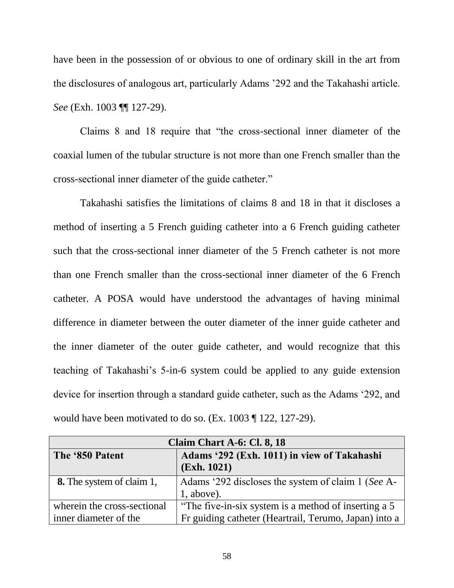have been in the possession of or obvious to one of ordinary skill in the art from the disclosures of analogous art, particularly Adams '292 and the Takahashi article. *See* (Exh. 1003 ¶¶ 127-29).

Claims 8 and 18 require that "the cross-sectional inner diameter of the coaxial lumen of the tubular structure is not more than one French smaller than the cross-sectional inner diameter of the guide catheter."

Takahashi satisfies the limitations of claims 8 and 18 in that it discloses a method of inserting a 5 French guiding catheter into a 6 French guiding catheter such that the cross-sectional inner diameter of the 5 French catheter is not more than one French smaller than the cross-sectional inner diameter of the 6 French catheter. A POSA would have understood the advantages of having minimal difference in diameter between the outer diameter of the inner guide catheter and the inner diameter of the outer guide catheter, and would recognize that this teaching of Takahashi's 5-in-6 system could be applied to any guide extension device for insertion through a standard guide catheter, such as the Adams '292, and would have been motivated to do so. (Ex. 1003 ¶ 122, 127-29).

| Claim Chart A-6: Cl. 8, 18       |                                                            |
|----------------------------------|------------------------------------------------------------|
| The '850 Patent                  | Adams '292 (Exh. 1011) in view of Takahashi<br>(Exh. 1021) |
|                                  |                                                            |
| <b>8.</b> The system of claim 1, | Adams '292 discloses the system of claim 1 (See A-         |
|                                  | $1$ , above).                                              |
| wherein the cross-sectional      | "The five-in-six system is a method of inserting a 5       |
| inner diameter of the            | Fr guiding catheter (Heartrail, Terumo, Japan) into a      |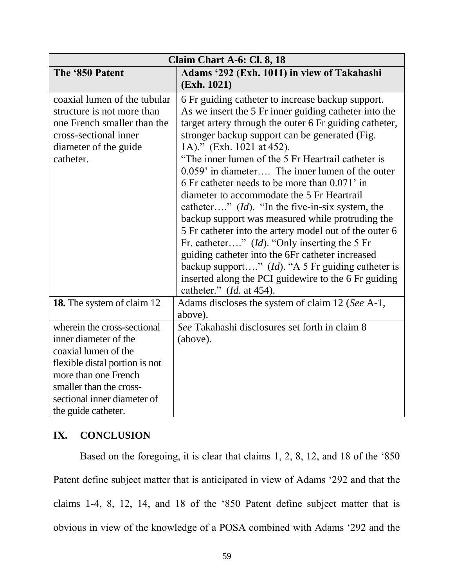| Claim Chart A-6: Cl. 8, 18                                                                                                                                                                                              |                                                                                                                                                                                                                                                                                                                                                                                                                                                                                                                                                                                                                                                                                                                                                                                                                                                                                                    |
|-------------------------------------------------------------------------------------------------------------------------------------------------------------------------------------------------------------------------|----------------------------------------------------------------------------------------------------------------------------------------------------------------------------------------------------------------------------------------------------------------------------------------------------------------------------------------------------------------------------------------------------------------------------------------------------------------------------------------------------------------------------------------------------------------------------------------------------------------------------------------------------------------------------------------------------------------------------------------------------------------------------------------------------------------------------------------------------------------------------------------------------|
| The '850 Patent                                                                                                                                                                                                         | Adams '292 (Exh. 1011) in view of Takahashi                                                                                                                                                                                                                                                                                                                                                                                                                                                                                                                                                                                                                                                                                                                                                                                                                                                        |
|                                                                                                                                                                                                                         | (Exh. 1021)                                                                                                                                                                                                                                                                                                                                                                                                                                                                                                                                                                                                                                                                                                                                                                                                                                                                                        |
| coaxial lumen of the tubular<br>structure is not more than<br>one French smaller than the<br>cross-sectional inner<br>diameter of the guide<br>catheter.                                                                | 6 Fr guiding catheter to increase backup support.<br>As we insert the 5 Fr inner guiding catheter into the<br>target artery through the outer 6 Fr guiding catheter,<br>stronger backup support can be generated (Fig.<br>1A)." (Exh. 1021 at 452).<br>"The inner lumen of the 5 Fr Heartrail catheter is<br>$0.059'$ in diameter The inner lumen of the outer<br>6 Fr catheter needs to be more than 0.071' in<br>diameter to accommodate the 5 Fr Heartrail<br>catheter" $(id)$ . "In the five-in-six system, the<br>backup support was measured while protruding the<br>5 Fr catheter into the artery model out of the outer 6<br>Fr. catheter" ( <i>Id</i> ). "Only inserting the 5 Fr<br>guiding catheter into the 6Fr catheter increased<br>backup support" ( <i>Id</i> ). "A 5 Fr guiding catheter is<br>inserted along the PCI guidewire to the 6 Fr guiding<br>catheter." $(Id.$ at 454). |
| 18. The system of claim 12                                                                                                                                                                                              | Adams discloses the system of claim 12 (See A-1,<br>above).                                                                                                                                                                                                                                                                                                                                                                                                                                                                                                                                                                                                                                                                                                                                                                                                                                        |
| wherein the cross-sectional<br>inner diameter of the<br>coaxial lumen of the<br>flexible distal portion is not<br>more than one French<br>smaller than the cross-<br>sectional inner diameter of<br>the guide catheter. | See Takahashi disclosures set forth in claim 8<br>(above).                                                                                                                                                                                                                                                                                                                                                                                                                                                                                                                                                                                                                                                                                                                                                                                                                                         |

# <span id="page-63-0"></span>**IX. CONCLUSION**

Based on the foregoing, it is clear that claims 1, 2, 8, 12, and 18 of the '850 Patent define subject matter that is anticipated in view of Adams '292 and that the claims 1-4, 8, 12, 14, and 18 of the '850 Patent define subject matter that is obvious in view of the knowledge of a POSA combined with Adams '292 and the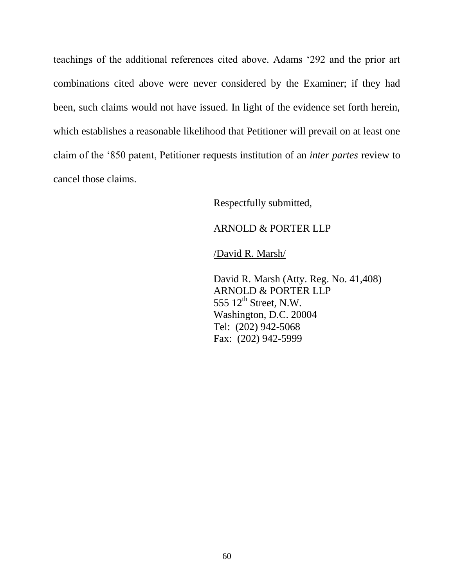teachings of the additional references cited above. Adams '292 and the prior art combinations cited above were never considered by the Examiner; if they had been, such claims would not have issued. In light of the evidence set forth herein, which establishes a reasonable likelihood that Petitioner will prevail on at least one claim of the '850 patent, Petitioner requests institution of an *inter partes* review to cancel those claims.

Respectfully submitted,

### ARNOLD & PORTER LLP

/David R. Marsh/

David R. Marsh (Atty. Reg. No. 41,408) ARNOLD & PORTER LLP 555  $12<sup>th</sup>$  Street, N.W. Washington, D.C. 20004 Tel: (202) 942-5068 Fax: (202) 942-5999